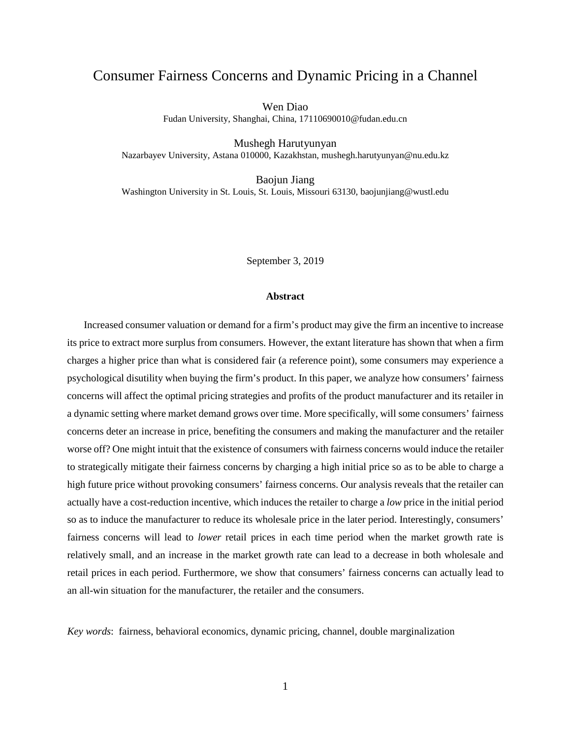# Consumer Fairness Concerns and Dynamic Pricing in a Channel

Wen Diao

Fudan University, Shanghai, China, 17110690010@fudan.edu.cn

Mushegh Harutyunyan

Nazarbayev University, Astana 010000, Kazakhstan, mushegh.harutyunyan@nu.edu.kz

Baojun Jiang

Washington University in St. Louis, St. Louis, Missouri 63130, baojunjiang@wustl.edu

September 3, 2019

#### **Abstract**

Increased consumer valuation or demand for a firm's product may give the firm an incentive to increase its price to extract more surplus from consumers. However, the extant literature has shown that when a firm charges a higher price than what is considered fair (a reference point), some consumers may experience a psychological disutility when buying the firm's product. In this paper, we analyze how consumers' fairness concerns will affect the optimal pricing strategies and profits of the product manufacturer and its retailer in a dynamic setting where market demand grows over time. More specifically, will some consumers' fairness concerns deter an increase in price, benefiting the consumers and making the manufacturer and the retailer worse off? One might intuit that the existence of consumers with fairness concerns would induce the retailer to strategically mitigate their fairness concerns by charging a high initial price so as to be able to charge a high future price without provoking consumers' fairness concerns. Our analysis reveals that the retailer can actually have a cost-reduction incentive, which induces the retailer to charge a *low* price in the initial period so as to induce the manufacturer to reduce its wholesale price in the later period. Interestingly, consumers' fairness concerns will lead to *lower* retail prices in each time period when the market growth rate is relatively small, and an increase in the market growth rate can lead to a decrease in both wholesale and retail prices in each period. Furthermore, we show that consumers' fairness concerns can actually lead to an all-win situation for the manufacturer, the retailer and the consumers.

*Key words*: fairness, behavioral economics, dynamic pricing, channel, double marginalization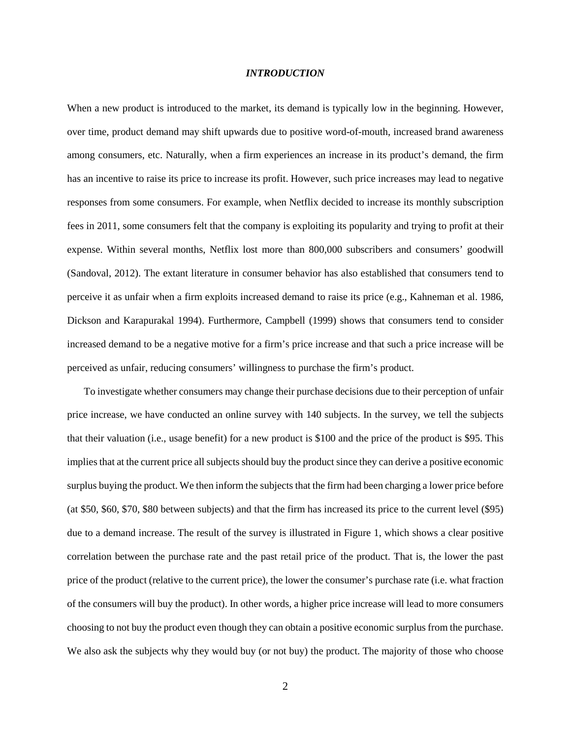#### *INTRODUCTION*

When a new product is introduced to the market, its demand is typically low in the beginning. However, over time, product demand may shift upwards due to positive word-of-mouth, increased brand awareness among consumers, etc. Naturally, when a firm experiences an increase in its product's demand, the firm has an incentive to raise its price to increase its profit. However, such price increases may lead to negative responses from some consumers. For example, when Netflix decided to increase its monthly subscription fees in 2011, some consumers felt that the company is exploiting its popularity and trying to profit at their expense. Within several months, Netflix lost more than 800,000 subscribers and consumers' goodwill (Sandoval, 2012). The extant literature in consumer behavior has also established that consumers tend to perceive it as unfair when a firm exploits increased demand to raise its price (e.g., Kahneman et al. 1986, Dickson and Karapurakal 1994). Furthermore, Campbell (1999) shows that consumers tend to consider increased demand to be a negative motive for a firm's price increase and that such a price increase will be perceived as unfair, reducing consumers' willingness to purchase the firm's product.

To investigate whether consumers may change their purchase decisions due to their perception of unfair price increase, we have conducted an online survey with 140 subjects. In the survey, we tell the subjects that their valuation (i.e., usage benefit) for a new product is \$100 and the price of the product is \$95. This implies that at the current price all subjects should buy the product since they can derive a positive economic surplus buying the product. We then inform the subjects that the firm had been charging a lower price before (at \$50, \$60, \$70, \$80 between subjects) and that the firm has increased its price to the current level (\$95) due to a demand increase. The result of the survey is illustrated in Figure 1, which shows a clear positive correlation between the purchase rate and the past retail price of the product. That is, the lower the past price of the product (relative to the current price), the lower the consumer's purchase rate (i.e. what fraction of the consumers will buy the product). In other words, a higher price increase will lead to more consumers choosing to not buy the product even though they can obtain a positive economic surplus from the purchase. We also ask the subjects why they would buy (or not buy) the product. The majority of those who choose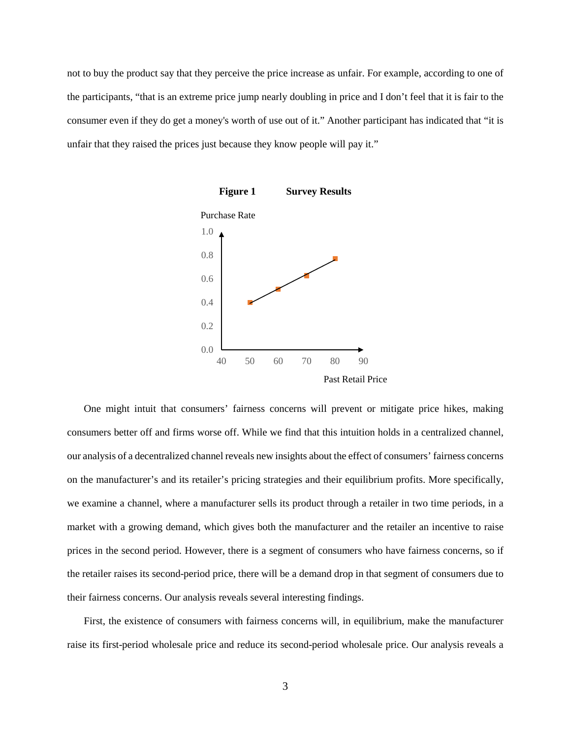not to buy the product say that they perceive the price increase as unfair. For example, according to one of the participants, "that is an extreme price jump nearly doubling in price and I don't feel that it is fair to the consumer even if they do get a money's worth of use out of it." Another participant has indicated that "it is unfair that they raised the prices just because they know people will pay it."



One might intuit that consumers' fairness concerns will prevent or mitigate price hikes, making consumers better off and firms worse off. While we find that this intuition holds in a centralized channel, our analysis of a decentralized channel reveals new insights about the effect of consumers' fairness concerns on the manufacturer's and its retailer's pricing strategies and their equilibrium profits. More specifically, we examine a channel, where a manufacturer sells its product through a retailer in two time periods, in a market with a growing demand, which gives both the manufacturer and the retailer an incentive to raise prices in the second period. However, there is a segment of consumers who have fairness concerns, so if the retailer raises its second-period price, there will be a demand drop in that segment of consumers due to their fairness concerns. Our analysis reveals several interesting findings.

First, the existence of consumers with fairness concerns will, in equilibrium, make the manufacturer raise its first-period wholesale price and reduce its second-period wholesale price. Our analysis reveals a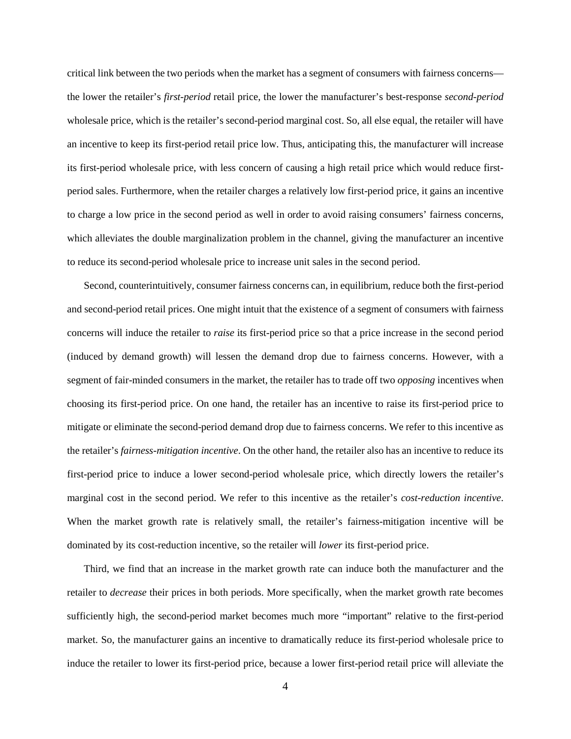critical link between the two periods when the market has a segment of consumers with fairness concerns the lower the retailer's *first-period* retail price, the lower the manufacturer's best-response *second-period* wholesale price, which is the retailer's second-period marginal cost. So, all else equal, the retailer will have an incentive to keep its first-period retail price low. Thus, anticipating this, the manufacturer will increase its first-period wholesale price, with less concern of causing a high retail price which would reduce firstperiod sales. Furthermore, when the retailer charges a relatively low first-period price, it gains an incentive to charge a low price in the second period as well in order to avoid raising consumers' fairness concerns, which alleviates the double marginalization problem in the channel, giving the manufacturer an incentive to reduce its second-period wholesale price to increase unit sales in the second period.

Second, counterintuitively, consumer fairness concerns can, in equilibrium, reduce both the first-period and second-period retail prices. One might intuit that the existence of a segment of consumers with fairness concerns will induce the retailer to *raise* its first-period price so that a price increase in the second period (induced by demand growth) will lessen the demand drop due to fairness concerns. However, with a segment of fair-minded consumers in the market, the retailer has to trade off two *opposing* incentives when choosing its first-period price. On one hand, the retailer has an incentive to raise its first-period price to mitigate or eliminate the second-period demand drop due to fairness concerns. We refer to this incentive as the retailer's *fairness-mitigation incentive*. On the other hand, the retailer also has an incentive to reduce its first-period price to induce a lower second-period wholesale price, which directly lowers the retailer's marginal cost in the second period. We refer to this incentive as the retailer's *cost-reduction incentive*. When the market growth rate is relatively small, the retailer's fairness-mitigation incentive will be dominated by its cost-reduction incentive, so the retailer will *lower* its first-period price.

Third, we find that an increase in the market growth rate can induce both the manufacturer and the retailer to *decrease* their prices in both periods. More specifically, when the market growth rate becomes sufficiently high, the second-period market becomes much more "important" relative to the first-period market. So, the manufacturer gains an incentive to dramatically reduce its first-period wholesale price to induce the retailer to lower its first-period price, because a lower first-period retail price will alleviate the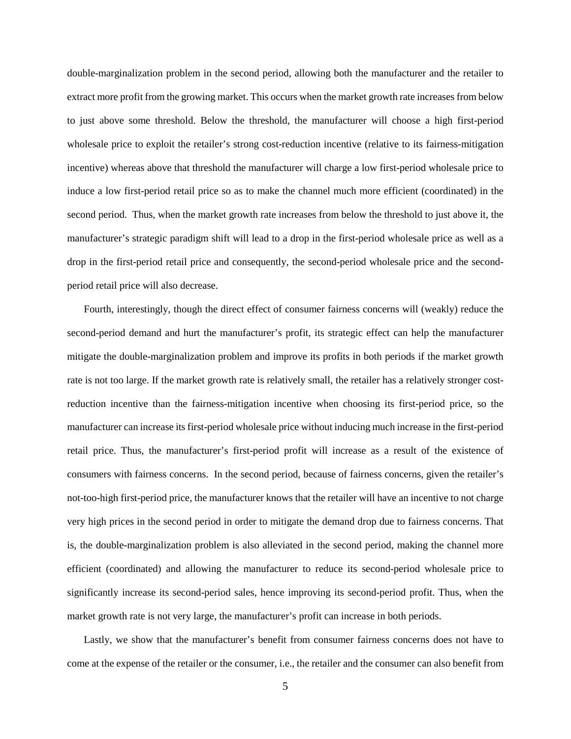double-marginalization problem in the second period, allowing both the manufacturer and the retailer to extract more profit from the growing market. This occurs when the market growth rate increases from below to just above some threshold. Below the threshold, the manufacturer will choose a high first-period wholesale price to exploit the retailer's strong cost-reduction incentive (relative to its fairness-mitigation incentive) whereas above that threshold the manufacturer will charge a low first-period wholesale price to induce a low first-period retail price so as to make the channel much more efficient (coordinated) in the second period. Thus, when the market growth rate increases from below the threshold to just above it, the manufacturer's strategic paradigm shift will lead to a drop in the first-period wholesale price as well as a drop in the first-period retail price and consequently, the second-period wholesale price and the secondperiod retail price will also decrease.

Fourth, interestingly, though the direct effect of consumer fairness concerns will (weakly) reduce the second-period demand and hurt the manufacturer's profit, its strategic effect can help the manufacturer mitigate the double-marginalization problem and improve its profits in both periods if the market growth rate is not too large. If the market growth rate is relatively small, the retailer has a relatively stronger costreduction incentive than the fairness-mitigation incentive when choosing its first-period price, so the manufacturer can increase its first-period wholesale price without inducing much increase in the first-period retail price. Thus, the manufacturer's first-period profit will increase as a result of the existence of consumers with fairness concerns. In the second period, because of fairness concerns, given the retailer's not-too-high first-period price, the manufacturer knows that the retailer will have an incentive to not charge very high prices in the second period in order to mitigate the demand drop due to fairness concerns. That is, the double-marginalization problem is also alleviated in the second period, making the channel more efficient (coordinated) and allowing the manufacturer to reduce its second-period wholesale price to significantly increase its second-period sales, hence improving its second-period profit. Thus, when the market growth rate is not very large, the manufacturer's profit can increase in both periods.

Lastly, we show that the manufacturer's benefit from consumer fairness concerns does not have to come at the expense of the retailer or the consumer, i.e., the retailer and the consumer can also benefit from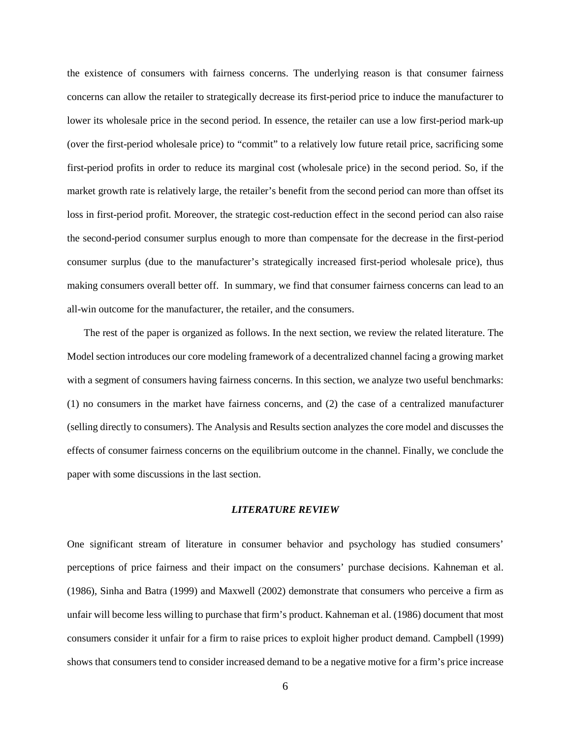the existence of consumers with fairness concerns. The underlying reason is that consumer fairness concerns can allow the retailer to strategically decrease its first-period price to induce the manufacturer to lower its wholesale price in the second period. In essence, the retailer can use a low first-period mark-up (over the first-period wholesale price) to "commit" to a relatively low future retail price, sacrificing some first-period profits in order to reduce its marginal cost (wholesale price) in the second period. So, if the market growth rate is relatively large, the retailer's benefit from the second period can more than offset its loss in first-period profit. Moreover, the strategic cost-reduction effect in the second period can also raise the second-period consumer surplus enough to more than compensate for the decrease in the first-period consumer surplus (due to the manufacturer's strategically increased first-period wholesale price), thus making consumers overall better off. In summary, we find that consumer fairness concerns can lead to an all-win outcome for the manufacturer, the retailer, and the consumers.

The rest of the paper is organized as follows. In the next section, we review the related literature. The Model section introduces our core modeling framework of a decentralized channel facing a growing market with a segment of consumers having fairness concerns. In this section, we analyze two useful benchmarks: (1) no consumers in the market have fairness concerns, and (2) the case of a centralized manufacturer (selling directly to consumers). The Analysis and Results section analyzes the core model and discusses the effects of consumer fairness concerns on the equilibrium outcome in the channel. Finally, we conclude the paper with some discussions in the last section.

## *LITERATURE REVIEW*

One significant stream of literature in consumer behavior and psychology has studied consumers' perceptions of price fairness and their impact on the consumers' purchase decisions. Kahneman et al. (1986), Sinha and Batra (1999) and Maxwell (2002) demonstrate that consumers who perceive a firm as unfair will become less willing to purchase that firm's product. Kahneman et al. (1986) document that most consumers consider it unfair for a firm to raise prices to exploit higher product demand. Campbell (1999) shows that consumers tend to consider increased demand to be a negative motive for a firm's price increase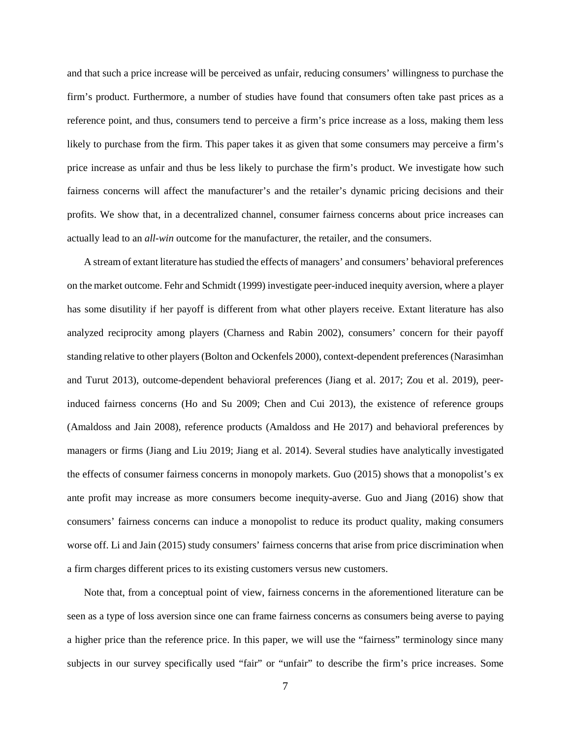and that such a price increase will be perceived as unfair, reducing consumers' willingness to purchase the firm's product. Furthermore, a number of studies have found that consumers often take past prices as a reference point, and thus, consumers tend to perceive a firm's price increase as a loss, making them less likely to purchase from the firm. This paper takes it as given that some consumers may perceive a firm's price increase as unfair and thus be less likely to purchase the firm's product. We investigate how such fairness concerns will affect the manufacturer's and the retailer's dynamic pricing decisions and their profits. We show that, in a decentralized channel, consumer fairness concerns about price increases can actually lead to an *all-win* outcome for the manufacturer, the retailer, and the consumers.

A stream of extant literature has studied the effects of managers' and consumers' behavioral preferences on the market outcome. Fehr and Schmidt (1999) investigate peer-induced inequity aversion, where a player has some disutility if her payoff is different from what other players receive. Extant literature has also analyzed reciprocity among players (Charness and Rabin 2002), consumers' concern for their payoff standing relative to other players (Bolton and Ockenfels 2000), context-dependent preferences (Narasimhan and Turut 2013), outcome-dependent behavioral preferences (Jiang et al. 2017; Zou et al. 2019), peerinduced fairness concerns (Ho and Su 2009; Chen and Cui 2013), the existence of reference groups (Amaldoss and Jain 2008), reference products (Amaldoss and He 2017) and behavioral preferences by managers or firms (Jiang and Liu 2019; Jiang et al. 2014). Several studies have analytically investigated the effects of consumer fairness concerns in monopoly markets. Guo (2015) shows that a monopolist's ex ante profit may increase as more consumers become inequity-averse. Guo and Jiang (2016) show that consumers' fairness concerns can induce a monopolist to reduce its product quality, making consumers worse off. Li and Jain (2015) study consumers' fairness concerns that arise from price discrimination when a firm charges different prices to its existing customers versus new customers.

Note that, from a conceptual point of view, fairness concerns in the aforementioned literature can be seen as a type of loss aversion since one can frame fairness concerns as consumers being averse to paying a higher price than the reference price. In this paper, we will use the "fairness" terminology since many subjects in our survey specifically used "fair" or "unfair" to describe the firm's price increases. Some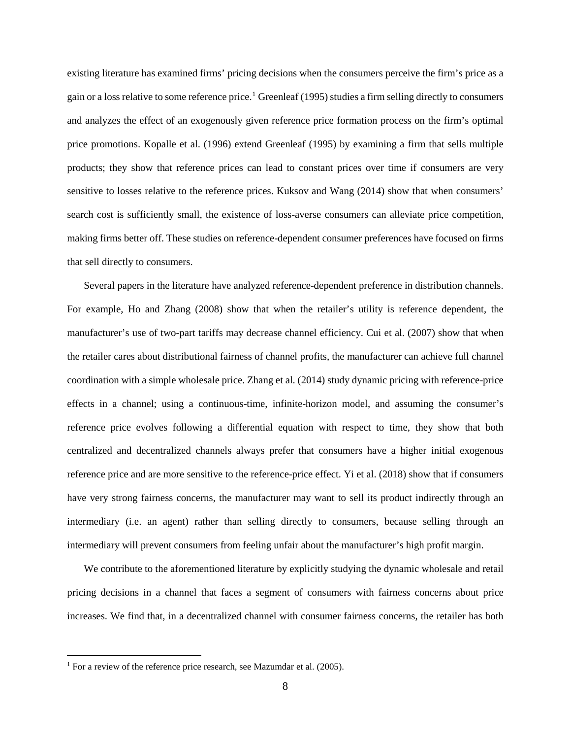existing literature has examined firms' pricing decisions when the consumers perceive the firm's price as a gain or a loss relative to some reference price.[1](#page-7-0) Greenleaf (1995) studies a firm selling directly to consumers and analyzes the effect of an exogenously given reference price formation process on the firm's optimal price promotions. Kopalle et al. (1996) extend Greenleaf (1995) by examining a firm that sells multiple products; they show that reference prices can lead to constant prices over time if consumers are very sensitive to losses relative to the reference prices. Kuksov and Wang (2014) show that when consumers' search cost is sufficiently small, the existence of loss-averse consumers can alleviate price competition, making firms better off. These studies on reference-dependent consumer preferences have focused on firms that sell directly to consumers.

Several papers in the literature have analyzed reference-dependent preference in distribution channels. For example, Ho and Zhang (2008) show that when the retailer's utility is reference dependent, the manufacturer's use of two-part tariffs may decrease channel efficiency. Cui et al. (2007) show that when the retailer cares about distributional fairness of channel profits, the manufacturer can achieve full channel coordination with a simple wholesale price. Zhang et al. (2014) study dynamic pricing with reference-price effects in a channel; using a continuous-time, infinite-horizon model, and assuming the consumer's reference price evolves following a differential equation with respect to time, they show that both centralized and decentralized channels always prefer that consumers have a higher initial exogenous reference price and are more sensitive to the reference-price effect. Yi et al. (2018) show that if consumers have very strong fairness concerns, the manufacturer may want to sell its product indirectly through an intermediary (i.e. an agent) rather than selling directly to consumers, because selling through an intermediary will prevent consumers from feeling unfair about the manufacturer's high profit margin.

We contribute to the aforementioned literature by explicitly studying the dynamic wholesale and retail pricing decisions in a channel that faces a segment of consumers with fairness concerns about price increases. We find that, in a decentralized channel with consumer fairness concerns, the retailer has both

<span id="page-7-0"></span><sup>&</sup>lt;sup>1</sup> For a review of the reference price research, see Mazumdar et al.  $(2005)$ .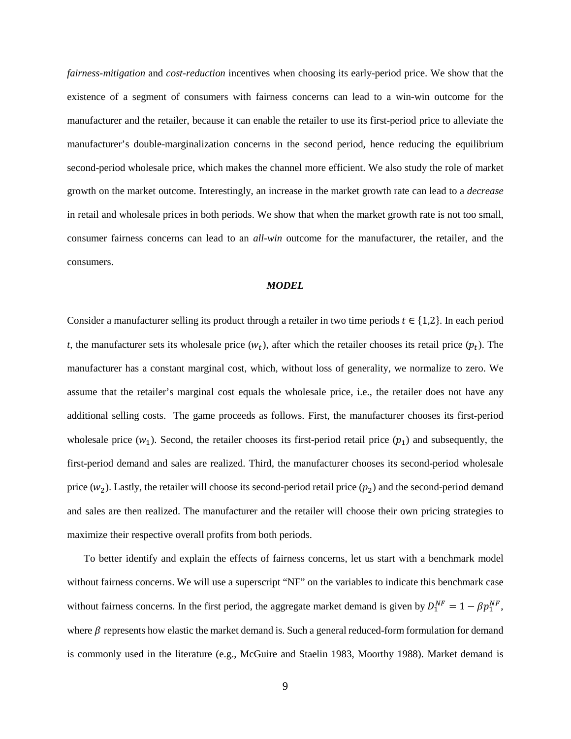*fairness-mitigation* and *cost-reduction* incentives when choosing its early-period price. We show that the existence of a segment of consumers with fairness concerns can lead to a win-win outcome for the manufacturer and the retailer, because it can enable the retailer to use its first-period price to alleviate the manufacturer's double-marginalization concerns in the second period, hence reducing the equilibrium second-period wholesale price, which makes the channel more efficient. We also study the role of market growth on the market outcome. Interestingly, an increase in the market growth rate can lead to a *decrease* in retail and wholesale prices in both periods. We show that when the market growth rate is not too small, consumer fairness concerns can lead to an *all-win* outcome for the manufacturer, the retailer, and the consumers.

#### *MODEL*

Consider a manufacturer selling its product through a retailer in two time periods  $t \in \{1,2\}$ . In each period *t*, the manufacturer sets its wholesale price  $(w_t)$ , after which the retailer chooses its retail price  $(p_t)$ . The manufacturer has a constant marginal cost, which, without loss of generality, we normalize to zero. We assume that the retailer's marginal cost equals the wholesale price, i.e., the retailer does not have any additional selling costs. The game proceeds as follows. First, the manufacturer chooses its first-period wholesale price  $(w_1)$ . Second, the retailer chooses its first-period retail price  $(p_1)$  and subsequently, the first-period demand and sales are realized. Third, the manufacturer chooses its second-period wholesale price  $(w_2)$ . Lastly, the retailer will choose its second-period retail price  $(p_2)$  and the second-period demand and sales are then realized. The manufacturer and the retailer will choose their own pricing strategies to maximize their respective overall profits from both periods.

To better identify and explain the effects of fairness concerns, let us start with a benchmark model without fairness concerns. We will use a superscript "NF" on the variables to indicate this benchmark case without fairness concerns. In the first period, the aggregate market demand is given by  $D_1^{NF} = 1 - \beta p_1^{NF}$ , where  $\beta$  represents how elastic the market demand is. Such a general reduced-form formulation for demand is commonly used in the literature (e.g., McGuire and Staelin 1983, Moorthy 1988). Market demand is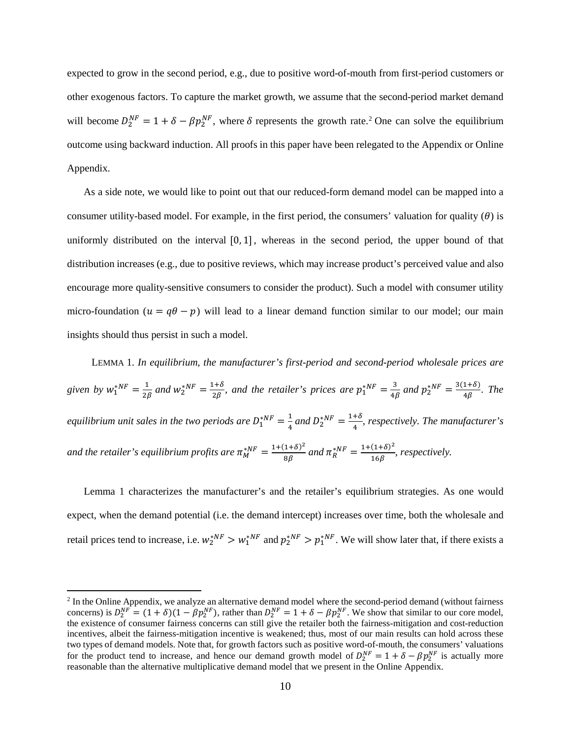expected to grow in the second period, e.g., due to positive word-of-mouth from first-period customers or other exogenous factors. To capture the market growth, we assume that the second-period market demand will become  $D_2^{NF} = 1 + \delta - \beta p_2^{NF}$  $D_2^{NF} = 1 + \delta - \beta p_2^{NF}$  $D_2^{NF} = 1 + \delta - \beta p_2^{NF}$ , where  $\delta$  represents the growth rate.<sup>2</sup> One can solve the equilibrium outcome using backward induction. All proofs in this paper have been relegated to the Appendix or Online Appendix.

As a side note, we would like to point out that our reduced-form demand model can be mapped into a consumer utility-based model. For example, in the first period, the consumers' valuation for quality  $(\theta)$  is uniformly distributed on the interval  $[0, 1]$ , whereas in the second period, the upper bound of that distribution increases (e.g., due to positive reviews, which may increase product's perceived value and also encourage more quality-sensitive consumers to consider the product). Such a model with consumer utility micro-foundation ( $u = q\theta - p$ ) will lead to a linear demand function similar to our model; our main insights should thus persist in such a model.

 LEMMA 1. *In equilibrium, the manufacturer's first-period and second-period wholesale prices are*  given by  $w_1^{*NF} = \frac{1}{2\beta}$  and  $w_2^{*NF} = \frac{1+\delta}{2\beta}$ , and the retailer's prices are  $p_1^{*NF} = \frac{3}{4\beta}$  and  $p_2^{*NF} = \frac{3(1+\delta)}{4\beta}$ . The *equilibrium unit sales in the two periods are*  $D_1^*{}^{NF} = \frac{1}{4}$  *and*  $D_2^*{}^{NF} = \frac{1+\delta}{4}$ *, respectively. The manufacturer's* and the retailer's equilibrium profits are  $\pi_M^{*NF} = \frac{1+(1+\delta)^2}{8\beta}$  and  $\pi_R^{*NF} = \frac{1+(1+\delta)^2}{16\beta}$ , respectively.

Lemma 1 characterizes the manufacturer's and the retailer's equilibrium strategies. As one would expect, when the demand potential (i.e. the demand intercept) increases over time, both the wholesale and retail prices tend to increase, i.e.  $w_2^{*NF} > w_1^{*NF}$  and  $p_2^{*NF} > p_1^{*NF}$ . We will show later that, if there exists a

<span id="page-9-0"></span><sup>&</sup>lt;sup>2</sup> In the Online Appendix, we analyze an alternative demand model where the second-period demand (without fairness concerns) is  $D_2^{NF} = (1 + \delta)(1 - \beta p_2^{NF})$ , rather than  $D_2^{NF} = 1 + \delta - \beta p_2^{NF}$ . We show that similar to our core model, the existence of consumer fairness concerns can still give the retailer both the fairness-mitigation and cost-reduction incentives, albeit the fairness-mitigation incentive is weakened; thus, most of our main results can hold across these two types of demand models. Note that, for growth factors such as positive word-of-mouth, the consumers' valuations for the product tend to increase, and hence our demand growth model of  $D_2^{NF} = 1 + \delta - \beta p_2^{NF}$  is actually more reasonable than the alternative multiplicative demand model that we present in the Online Appendix.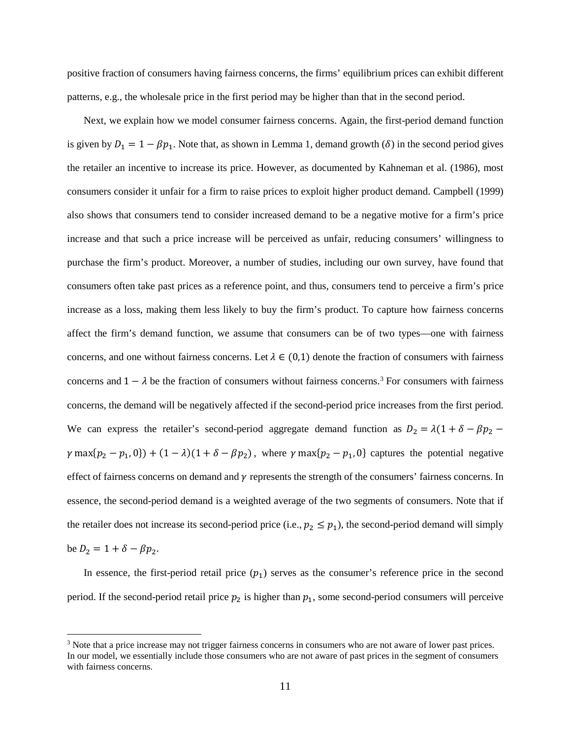positive fraction of consumers having fairness concerns, the firms' equilibrium prices can exhibit different patterns, e.g., the wholesale price in the first period may be higher than that in the second period.

Next, we explain how we model consumer fairness concerns. Again, the first-period demand function is given by  $D_1 = 1 - \beta p_1$ . Note that, as shown in Lemma 1, demand growth ( $\delta$ ) in the second period gives the retailer an incentive to increase its price. However, as documented by Kahneman et al. (1986), most consumers consider it unfair for a firm to raise prices to exploit higher product demand. Campbell (1999) also shows that consumers tend to consider increased demand to be a negative motive for a firm's price increase and that such a price increase will be perceived as unfair, reducing consumers' willingness to purchase the firm's product. Moreover, a number of studies, including our own survey, have found that consumers often take past prices as a reference point, and thus, consumers tend to perceive a firm's price increase as a loss, making them less likely to buy the firm's product. To capture how fairness concerns affect the firm's demand function, we assume that consumers can be of two types—one with fairness concerns, and one without fairness concerns. Let  $\lambda \in (0,1)$  denote the fraction of consumers with fairness concerns and  $1 - \lambda$  be the fraction of consumers without fairness concerns.<sup>[3](#page-10-0)</sup> For consumers with fairness concerns, the demand will be negatively affected if the second-period price increases from the first period. We can express the retailer's second-period aggregate demand function as  $D_2 = \lambda(1 + \delta - \beta p_2 \gamma$  max{ $p_2 - p_1$ , 0}) +  $(1 - \lambda)(1 + \delta - \beta p_2)$ , where  $\gamma$  max{ $p_2 - p_1$ , 0} captures the potential negative effect of fairness concerns on demand and  $\gamma$  represents the strength of the consumers' fairness concerns. In essence, the second-period demand is a weighted average of the two segments of consumers. Note that if the retailer does not increase its second-period price (i.e.,  $p_2 \leq p_1$ ), the second-period demand will simply be  $D_2 = 1 + \delta - \beta p_2$ .

In essence, the first-period retail price  $(p_1)$  serves as the consumer's reference price in the second period. If the second-period retail price  $p_2$  is higher than  $p_1$ , some second-period consumers will perceive

<span id="page-10-0"></span><sup>&</sup>lt;sup>3</sup> Note that a price increase may not trigger fairness concerns in consumers who are not aware of lower past prices. In our model, we essentially include those consumers who are not aware of past prices in the segment of consumers with fairness concerns.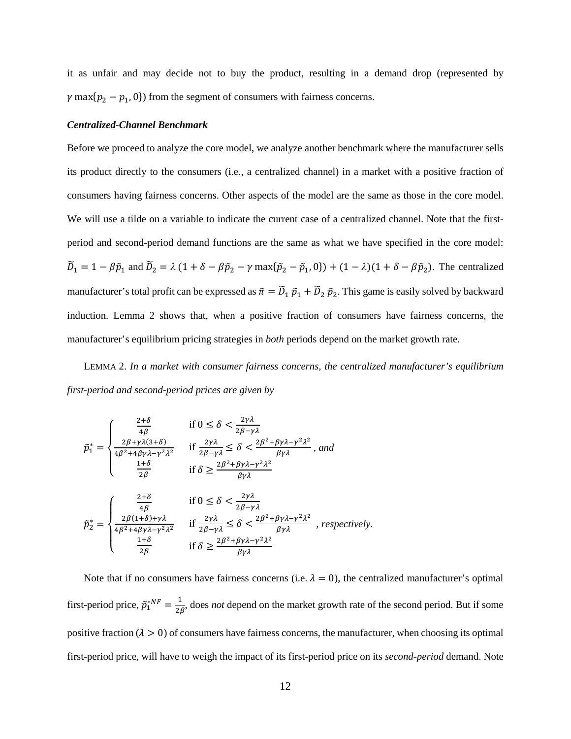it as unfair and may decide not to buy the product, resulting in a demand drop (represented by  $\gamma$  max{ $p_2 - p_1$ , 0}) from the segment of consumers with fairness concerns.

## *Centralized-Channel Benchmark*

Before we proceed to analyze the core model, we analyze another benchmark where the manufacturer sells its product directly to the consumers (i.e., a centralized channel) in a market with a positive fraction of consumers having fairness concerns. Other aspects of the model are the same as those in the core model. We will use a tilde on a variable to indicate the current case of a centralized channel. Note that the firstperiod and second-period demand functions are the same as what we have specified in the core model:  $\tilde{D}_1 = 1 - \beta \tilde{p}_1$  and  $\tilde{D}_2 = \lambda (1 + \delta - \beta \tilde{p}_2 - \gamma \max{\{\tilde{p}_2 - \tilde{p}_1, 0\}}) + (1 - \lambda)(1 + \delta - \beta \tilde{p}_2)$ . The centralized manufacturer's total profit can be expressed as  $\tilde{\pi} = \tilde{D}_1 \tilde{p}_1 + \tilde{D}_2 \tilde{p}_2$ . This game is easily solved by backward induction. Lemma 2 shows that, when a positive fraction of consumers have fairness concerns, the manufacturer's equilibrium pricing strategies in *both* periods depend on the market growth rate.

LEMMA 2. *In a market with consumer fairness concerns, the centralized manufacturer's equilibrium first-period and second-period prices are given by*

$$
\tilde{p}_{1}^{*} = \begin{cases}\n\frac{2+\delta}{4\beta} & \text{if } 0 \leq \delta < \frac{2\gamma\lambda}{2\beta-\gamma\lambda} \\
\frac{2\beta+\gamma\lambda(3+\delta)}{4\beta^{2}+4\beta\gamma\lambda-\gamma^{2}\lambda^{2}} & \text{if } \frac{2\gamma\lambda}{2\beta-\gamma\lambda} \leq \delta < \frac{2\beta^{2}+\beta\gamma\lambda-\gamma^{2}\lambda^{2}}{\beta\gamma\lambda}, \text{ and} \\
\frac{1+\delta}{2\beta} & \text{if } \delta \geq \frac{2\beta^{2}+\beta\gamma\lambda-\gamma^{2}\lambda^{2}}{\beta\gamma\lambda} \\
\frac{2\beta(1+\delta)+\gamma\lambda}{4\beta} & \text{if } 0 \leq \delta < \frac{2\gamma\lambda}{2\beta-\gamma\lambda} \\
\frac{2\beta(1+\delta)+\gamma\lambda}{4\beta^{2}+4\beta\gamma\lambda-\gamma^{2}\lambda^{2}} & \text{if } \frac{2\gamma\lambda}{2\beta-\gamma\lambda} \leq \delta < \frac{2\beta^{2}+\beta\gamma\lambda-\gamma^{2}\lambda^{2}}{\beta\gamma\lambda}, \text{ respectively.} \\
\frac{1+\delta}{2\beta} & \text{if } \delta \geq \frac{2\beta^{2}+\beta\gamma\lambda-\gamma^{2}\lambda^{2}}{\beta\gamma\lambda}\n\end{cases}
$$

Note that if no consumers have fairness concerns (i.e.  $\lambda = 0$ ), the centralized manufacturer's optimal first-period price,  $\tilde{p}_1^{*NF} = \frac{1}{2\beta}$ , does *not* depend on the market growth rate of the second period. But if some positive fraction ( $\lambda > 0$ ) of consumers have fairness concerns, the manufacturer, when choosing its optimal first-period price, will have to weigh the impact of its first-period price on its *second-period* demand. Note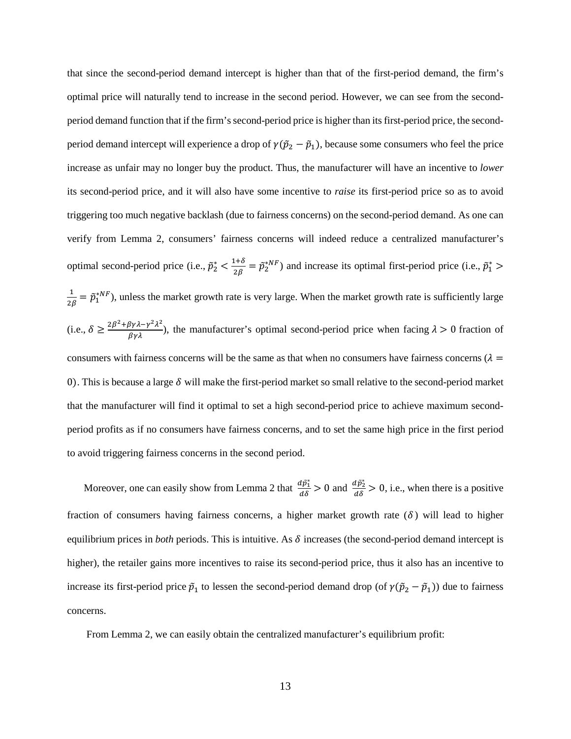that since the second-period demand intercept is higher than that of the first-period demand, the firm's optimal price will naturally tend to increase in the second period. However, we can see from the secondperiod demand function that if the firm's second-period price is higher than its first-period price, the secondperiod demand intercept will experience a drop of  $\gamma(\tilde{p}_2 - \tilde{p}_1)$ , because some consumers who feel the price increase as unfair may no longer buy the product. Thus, the manufacturer will have an incentive to *lower* its second-period price, and it will also have some incentive to *raise* its first-period price so as to avoid triggering too much negative backlash (due to fairness concerns) on the second-period demand. As one can verify from Lemma 2, consumers' fairness concerns will indeed reduce a centralized manufacturer's optimal second-period price (i.e.,  $\tilde{p}_2^* < \frac{1+\delta}{2\beta} = \tilde{p}_2^{*NF}$ ) and increase its optimal first-period price (i.e.,  $\tilde{p}_1^*$ )  $\frac{1}{2\beta} = \tilde{p}_1^{*NF}$ ), unless the market growth rate is very large. When the market growth rate is sufficiently large (i.e.,  $\delta \ge \frac{2\beta^2 + \beta\gamma\lambda - \gamma^2\lambda^2}{\beta\gamma\lambda}$ ), the manufacturer's optimal second-period price when facing  $\lambda > 0$  fraction of consumers with fairness concerns will be the same as that when no consumers have fairness concerns ( $\lambda$  = 0). This is because a large  $\delta$  will make the first-period market so small relative to the second-period market that the manufacturer will find it optimal to set a high second-period price to achieve maximum secondperiod profits as if no consumers have fairness concerns, and to set the same high price in the first period to avoid triggering fairness concerns in the second period.

Moreover, one can easily show from Lemma 2 that  $\frac{d\tilde{p}_1^*}{d\delta} > 0$  and  $\frac{d\tilde{p}_2^*}{d\delta} > 0$ , i.e., when there is a positive fraction of consumers having fairness concerns, a higher market growth rate  $(\delta)$  will lead to higher equilibrium prices in *both* periods. This is intuitive. As  $\delta$  increases (the second-period demand intercept is higher), the retailer gains more incentives to raise its second-period price, thus it also has an incentive to increase its first-period price  $\tilde{p}_1$  to lessen the second-period demand drop (of  $\gamma(\tilde{p}_2 - \tilde{p}_1)$ ) due to fairness concerns.

From Lemma 2, we can easily obtain the centralized manufacturer's equilibrium profit: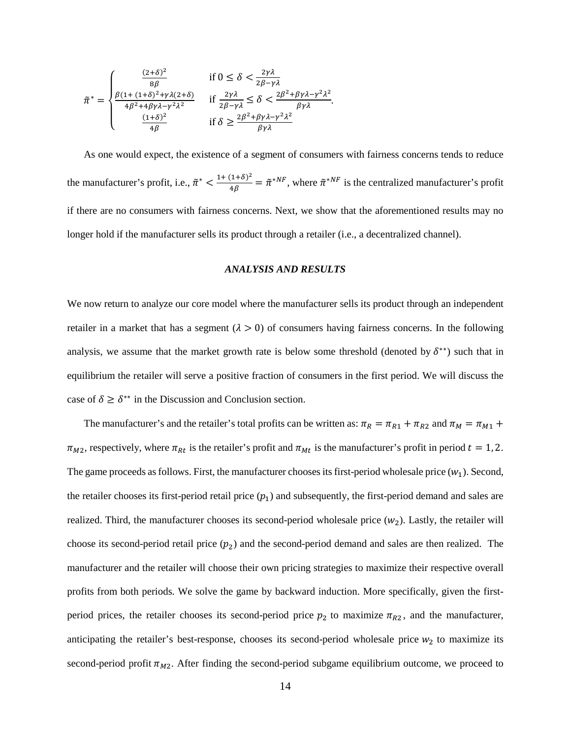$$
\tilde{\pi}^* = \begin{cases}\n\frac{(2+\delta)^2}{8\beta} & \text{if } 0 \le \delta < \frac{2\gamma\lambda}{2\beta - \gamma\lambda} \\
\frac{\beta(1 + (1+\delta)^2 + \gamma\lambda(2+\delta)}{4\beta^2 + 4\beta\gamma\lambda - \gamma^2\lambda^2} & \text{if } \frac{2\gamma\lambda}{2\beta - \gamma\lambda} \le \delta < \frac{2\beta^2 + \beta\gamma\lambda - \gamma^2\lambda^2}{\beta\gamma\lambda} \\
\frac{(1+\delta)^2}{4\beta} & \text{if } \delta \ge \frac{2\beta^2 + \beta\gamma\lambda - \gamma^2\lambda^2}{\beta\gamma\lambda}\n\end{cases}
$$

As one would expect, the existence of a segment of consumers with fairness concerns tends to reduce the manufacturer's profit, i.e.,  $\tilde{\pi}^* < \frac{1 + (1+\delta)^2}{4\beta} = \tilde{\pi}^{*NF}$ , where  $\tilde{\pi}^{*NF}$  is the centralized manufacturer's profit if there are no consumers with fairness concerns. Next, we show that the aforementioned results may no longer hold if the manufacturer sells its product through a retailer (i.e., a decentralized channel).

## *ANALYSIS AND RESULTS*

We now return to analyze our core model where the manufacturer sells its product through an independent retailer in a market that has a segment  $(\lambda > 0)$  of consumers having fairness concerns. In the following analysis, we assume that the market growth rate is below some threshold (denoted by  $\delta^{**}$ ) such that in equilibrium the retailer will serve a positive fraction of consumers in the first period. We will discuss the case of  $\delta \geq \delta^{**}$  in the Discussion and Conclusion section.

The manufacturer's and the retailer's total profits can be written as:  $\pi_R = \pi_{R1} + \pi_{R2}$  and  $\pi_M = \pi_{M1} + \pi_{M2}$  $\pi_{M2}$ , respectively, where  $\pi_{Rt}$  is the retailer's profit and  $\pi_{Mt}$  is the manufacturer's profit in period  $t = 1, 2$ . The game proceeds as follows. First, the manufacturer chooses its first-period wholesale price  $(w_1)$ . Second, the retailer chooses its first-period retail price  $(p_1)$  and subsequently, the first-period demand and sales are realized. Third, the manufacturer chooses its second-period wholesale price  $(w_2)$ . Lastly, the retailer will choose its second-period retail price  $(p_2)$  and the second-period demand and sales are then realized. The manufacturer and the retailer will choose their own pricing strategies to maximize their respective overall profits from both periods. We solve the game by backward induction. More specifically, given the firstperiod prices, the retailer chooses its second-period price  $p_2$  to maximize  $\pi_{R2}$ , and the manufacturer, anticipating the retailer's best-response, chooses its second-period wholesale price  $w_2$  to maximize its second-period profit  $\pi_{M2}$ . After finding the second-period subgame equilibrium outcome, we proceed to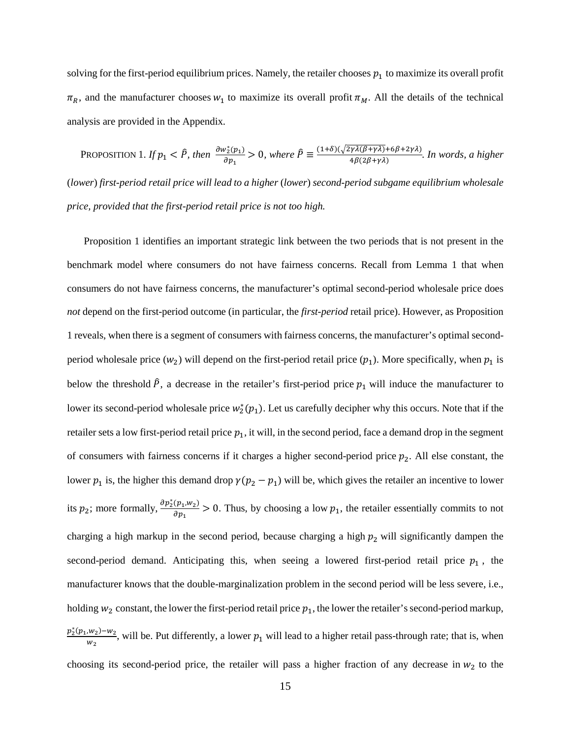solving for the first-period equilibrium prices. Namely, the retailer chooses  $p_1$  to maximize its overall profit  $\pi_R$ , and the manufacturer chooses  $w_1$  to maximize its overall profit  $\pi_M$ . All the details of the technical analysis are provided in the Appendix.

PROPOSITION 1. If 
$$
p_1 < \hat{P}
$$
, then  $\frac{\partial w_2^*(p_1)}{\partial p_1} > 0$ , where  $\hat{P} \equiv \frac{(1+\delta)(\sqrt{2\gamma\lambda(\beta+\gamma\lambda)}+6\beta+2\gamma\lambda)}{4\beta(2\beta+\gamma\lambda)}$ . In words, a higher

(*lower*) *first-period retail price will lead to a higher* (*lower*) *second-period subgame equilibrium wholesale price, provided that the first-period retail price is not too high.*

Proposition 1 identifies an important strategic link between the two periods that is not present in the benchmark model where consumers do not have fairness concerns. Recall from Lemma 1 that when consumers do not have fairness concerns, the manufacturer's optimal second-period wholesale price does *not* depend on the first-period outcome (in particular, the *first-period* retail price). However, as Proposition 1 reveals, when there is a segment of consumers with fairness concerns, the manufacturer's optimal secondperiod wholesale price  $(w_2)$  will depend on the first-period retail price  $(p_1)$ . More specifically, when  $p_1$  is below the threshold  $\hat{P}$ , a decrease in the retailer's first-period price  $p_1$  will induce the manufacturer to lower its second-period wholesale price  $w_2^*(p_1)$ . Let us carefully decipher why this occurs. Note that if the retailer sets a low first-period retail price  $p_1$ , it will, in the second period, face a demand drop in the segment of consumers with fairness concerns if it charges a higher second-period price  $p_2$ . All else constant, the lower  $p_1$  is, the higher this demand drop  $\gamma(p_2 - p_1)$  will be, which gives the retailer an incentive to lower its  $p_2$ ; more formally,  $\frac{\partial p_2^*(p_1, w_2)}{\partial p_1}$  $\frac{\Delta(p_1, w_2)}{\Delta p_1} > 0$ . Thus, by choosing a low  $p_1$ , the retailer essentially commits to not charging a high markup in the second period, because charging a high  $p_2$  will significantly dampen the second-period demand. Anticipating this, when seeing a lowered first-period retail price  $p_1$ , the manufacturer knows that the double-marginalization problem in the second period will be less severe, i.e., holding  $w_2$  constant, the lower the first-period retail price  $p_1$ , the lower the retailer's second-period markup,  $p_2^*(p_1,w_2)-w_2$  $\frac{1}{2}$ , will be. Put differently, a lower  $p_1$  will lead to a higher retail pass-through rate; that is, when choosing its second-period price, the retailer will pass a higher fraction of any decrease in  $w_2$  to the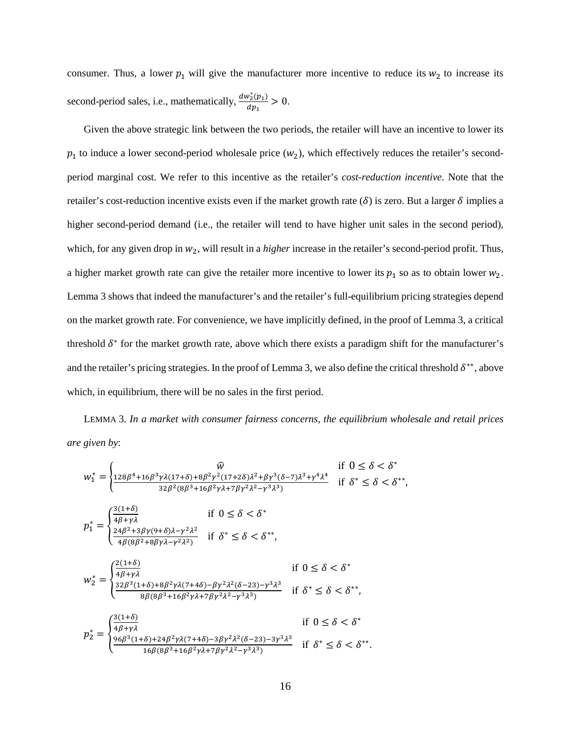consumer. Thus, a lower  $p_1$  will give the manufacturer more incentive to reduce its  $w_2$  to increase its second-period sales, i.e., mathematically,  $\frac{dw_2^*(p_1)}{dx_1}$  $\frac{\nu_2(\mu_1)}{dp_1} > 0.$ 

Given the above strategic link between the two periods, the retailer will have an incentive to lower its  $p_1$  to induce a lower second-period wholesale price  $(w_2)$ , which effectively reduces the retailer's secondperiod marginal cost. We refer to this incentive as the retailer's *cost-reduction incentive*. Note that the retailer's cost-reduction incentive exists even if the market growth rate ( $\delta$ ) is zero. But a larger  $\delta$  implies a higher second-period demand (i.e., the retailer will tend to have higher unit sales in the second period), which, for any given drop in  $w_2$ , will result in a *higher* increase in the retailer's second-period profit. Thus, a higher market growth rate can give the retailer more incentive to lower its  $p_1$  so as to obtain lower  $w_2$ . Lemma 3 shows that indeed the manufacturer's and the retailer's full-equilibrium pricing strategies depend on the market growth rate. For convenience, we have implicitly defined, in the proof of Lemma 3, a critical threshold  $\delta^*$  for the market growth rate, above which there exists a paradigm shift for the manufacturer's and the retailer's pricing strategies. In the proof of Lemma 3, we also define the critical threshold  $\delta^{**}$ , above which, in equilibrium, there will be no sales in the first period.

LEMMA 3. *In a market with consumer fairness concerns, the equilibrium wholesale and retail prices are given by*:

$$
w_{1}^{*} = \begin{cases} \hat{w} & \text{if } 0 \leq \delta < \delta^{*} \\ \frac{128\beta^{4} + 16\beta^{3}\gamma\lambda(17+\delta) + 8\beta^{2}\gamma^{2}(17+2\delta)\lambda^{2} + \beta\gamma^{3}(\delta-7)\lambda^{3} + \gamma^{4}\lambda^{4}}{32\beta^{2}(8\beta^{3} + 16\beta^{2}\gamma\lambda + 7\beta\gamma^{2}\lambda^{2} - \gamma^{3}\lambda^{3})} & \text{if } \delta^{*} \leq \delta < \delta^{*}, \\ \frac{24\beta^{2} + 3\beta\gamma(9+\delta)\lambda - \gamma^{2}\lambda^{2}}{4\beta(8\beta^{2} + 8\beta\gamma\lambda - \gamma^{2}\lambda^{2})} & \text{if } \delta^{*} \leq \delta < \delta^{*}, \\ \frac{24\beta^{2} + 3\beta\gamma(9+\delta)\lambda - \gamma^{2}\lambda^{2}}{4\beta(\beta\beta^{2} + 8\beta\gamma\lambda - \gamma^{2}\lambda^{2})} & \text{if } \delta^{*} \leq \delta < \delta^{*}, \\ \frac{32\beta^{3}(1+\delta) + 8\beta^{2}\gamma\lambda(7+4\delta) - \beta\gamma^{2}\lambda^{2}(\delta-23) - \gamma^{3}\lambda^{3}}{8\beta(8\beta^{3} + 16\beta^{2}\gamma\lambda + 7\beta\gamma^{2}\lambda^{2} - \gamma^{3}\lambda^{3})} & \text{if } \delta^{*} \leq \delta < \delta^{*}, \\ \frac{96\beta^{3}(1+\delta) + 24\beta^{2}\gamma\lambda(7+4\delta) - 3\beta\gamma^{2}\lambda^{2}(\delta-23) - 3\gamma^{3}\lambda^{3}}{16\beta(8\beta^{3} + 16\beta^{2}\gamma\lambda + 7\beta\gamma^{2}\lambda^{2} - \gamma^{3}\lambda^{3})} & \text{if } \delta^{*} \leq \delta < \delta^{*}. \end{cases}
$$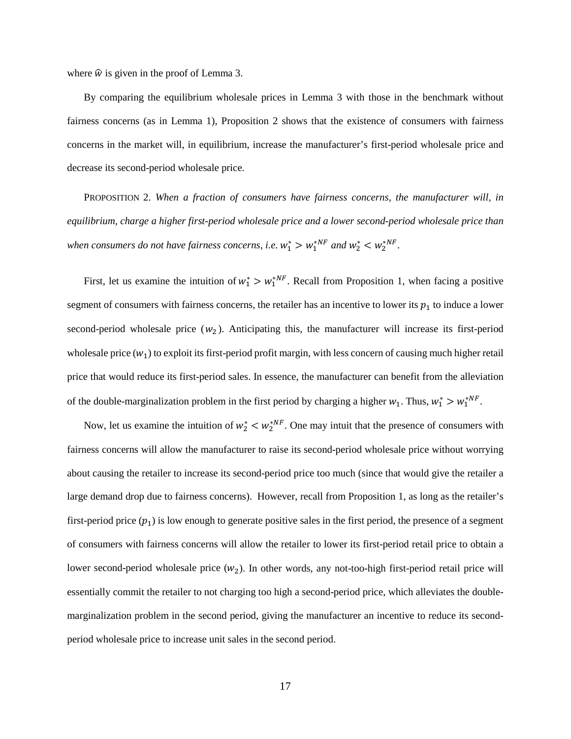where  $\hat{w}$  is given in the proof of Lemma 3.

By comparing the equilibrium wholesale prices in Lemma 3 with those in the benchmark without fairness concerns (as in Lemma 1), Proposition 2 shows that the existence of consumers with fairness concerns in the market will, in equilibrium, increase the manufacturer's first-period wholesale price and decrease its second-period wholesale price*.*

PROPOSITION 2. *When a fraction of consumers have fairness concerns, the manufacturer will, in equilibrium, charge a higher first-period wholesale price and a lower second-period wholesale price than* when consumers do not have fairness concerns, i.e.  $w_1^* > w_1^{*NF}$  and  $w_2^* < w_2^{*NF}$ .

First, let us examine the intuition of  $w_1^* > w_1^{*NF}$ . Recall from Proposition 1, when facing a positive segment of consumers with fairness concerns, the retailer has an incentive to lower its  $p_1$  to induce a lower second-period wholesale price  $(w_2)$ . Anticipating this, the manufacturer will increase its first-period wholesale price  $(w_1)$  to exploit its first-period profit margin, with less concern of causing much higher retail price that would reduce its first-period sales. In essence, the manufacturer can benefit from the alleviation of the double-marginalization problem in the first period by charging a higher  $w_1$ . Thus,  $w_1^* > w_1^{*NF}$ .

Now, let us examine the intuition of  $w_2^* < w_2^{*NF}$ . One may intuit that the presence of consumers with fairness concerns will allow the manufacturer to raise its second-period wholesale price without worrying about causing the retailer to increase its second-period price too much (since that would give the retailer a large demand drop due to fairness concerns). However, recall from Proposition 1, as long as the retailer's first-period price  $(p_1)$  is low enough to generate positive sales in the first period, the presence of a segment of consumers with fairness concerns will allow the retailer to lower its first-period retail price to obtain a lower second-period wholesale price  $(w_2)$ . In other words, any not-too-high first-period retail price will essentially commit the retailer to not charging too high a second-period price, which alleviates the doublemarginalization problem in the second period, giving the manufacturer an incentive to reduce its secondperiod wholesale price to increase unit sales in the second period.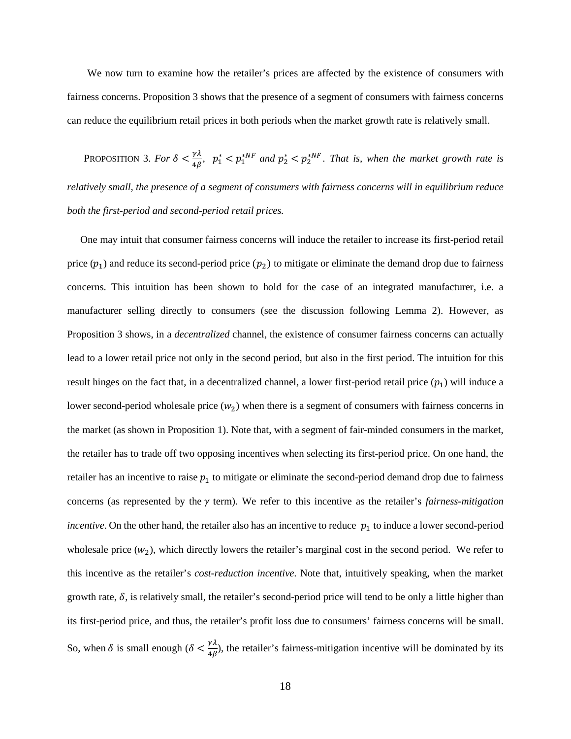We now turn to examine how the retailer's prices are affected by the existence of consumers with fairness concerns. Proposition 3 shows that the presence of a segment of consumers with fairness concerns can reduce the equilibrium retail prices in both periods when the market growth rate is relatively small.

PROPOSITION 3. For  $\delta < \frac{\gamma A}{4\beta}$ ,  $p_1^* < p_1^{*NF}$  and  $p_2^* < p_2^{*NF}$ . That is, when the market growth rate is *relatively small, the presence of a segment of consumers with fairness concerns will in equilibrium reduce both the first-period and second-period retail prices.*

One may intuit that consumer fairness concerns will induce the retailer to increase its first-period retail price  $(p_1)$  and reduce its second-period price  $(p_2)$  to mitigate or eliminate the demand drop due to fairness concerns. This intuition has been shown to hold for the case of an integrated manufacturer, i.e. a manufacturer selling directly to consumers (see the discussion following Lemma 2). However, as Proposition 3 shows, in a *decentralized* channel, the existence of consumer fairness concerns can actually lead to a lower retail price not only in the second period, but also in the first period. The intuition for this result hinges on the fact that, in a decentralized channel, a lower first-period retail price  $(p_1)$  will induce a lower second-period wholesale price  $(w_2)$  when there is a segment of consumers with fairness concerns in the market (as shown in Proposition 1). Note that, with a segment of fair-minded consumers in the market, the retailer has to trade off two opposing incentives when selecting its first-period price. On one hand, the retailer has an incentive to raise  $p_1$  to mitigate or eliminate the second-period demand drop due to fairness concerns (as represented by the  $\gamma$  term). We refer to this incentive as the retailer's *fairness-mitigation incentive*. On the other hand, the retailer also has an incentive to reduce  $p_1$  to induce a lower second-period wholesale price  $(w_2)$ , which directly lowers the retailer's marginal cost in the second period. We refer to this incentive as the retailer's *cost-reduction incentive*. Note that, intuitively speaking, when the market growth rate,  $\delta$ , is relatively small, the retailer's second-period price will tend to be only a little higher than its first-period price, and thus, the retailer's profit loss due to consumers' fairness concerns will be small. So, when  $\delta$  is small enough  $(\delta < \frac{\gamma \lambda}{4\beta})$ , the retailer's fairness-mitigation incentive will be dominated by its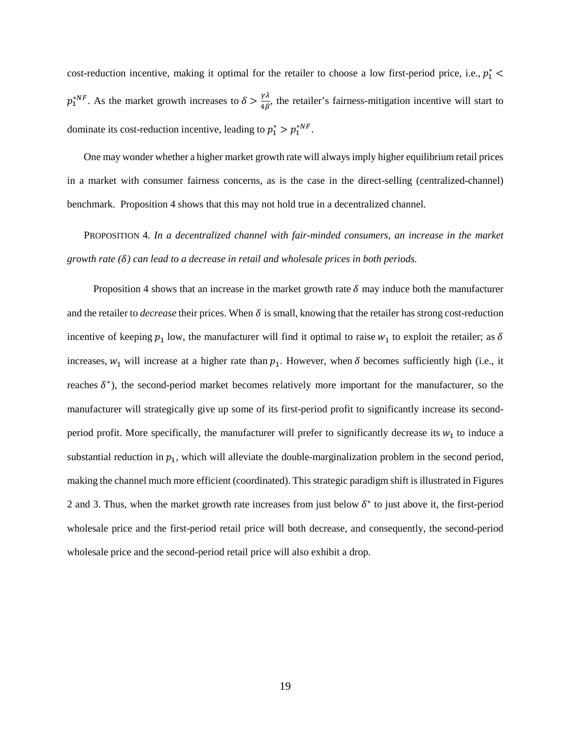cost-reduction incentive, making it optimal for the retailer to choose a low first-period price, i.e.,  $p_1^*$  <  $p_1^{*NF}$ . As the market growth increases to  $\delta > \frac{v_A}{4\beta}$ , the retailer's fairness-mitigation incentive will start to dominate its cost-reduction incentive, leading to  $p_1^* > p_1^{*NF}$ .

One may wonder whether a higher market growth rate will always imply higher equilibrium retail prices in a market with consumer fairness concerns, as is the case in the direct-selling (centralized-channel) benchmark. Proposition 4 shows that this may not hold true in a decentralized channel.

PROPOSITION 4. *In a decentralized channel with fair-minded consumers, an increase in the market growth rate () can lead to a decrease in retail and wholesale prices in both periods.* 

Proposition 4 shows that an increase in the market growth rate  $\delta$  may induce both the manufacturer and the retailer to *decrease* their prices. When  $\delta$  is small, knowing that the retailer has strong cost-reduction incentive of keeping  $p_1$  low, the manufacturer will find it optimal to raise  $w_1$  to exploit the retailer; as  $\delta$ increases,  $w_1$  will increase at a higher rate than  $p_1$ . However, when  $\delta$  becomes sufficiently high (i.e., it reaches  $\delta^*$ ), the second-period market becomes relatively more important for the manufacturer, so the manufacturer will strategically give up some of its first-period profit to significantly increase its secondperiod profit. More specifically, the manufacturer will prefer to significantly decrease its  $w_1$  to induce a substantial reduction in  $p_1$ , which will alleviate the double-marginalization problem in the second period, making the channel much more efficient (coordinated). This strategic paradigm shift is illustrated in Figures 2 and 3. Thus, when the market growth rate increases from just below  $\delta^*$  to just above it, the first-period wholesale price and the first-period retail price will both decrease, and consequently, the second-period wholesale price and the second-period retail price will also exhibit a drop.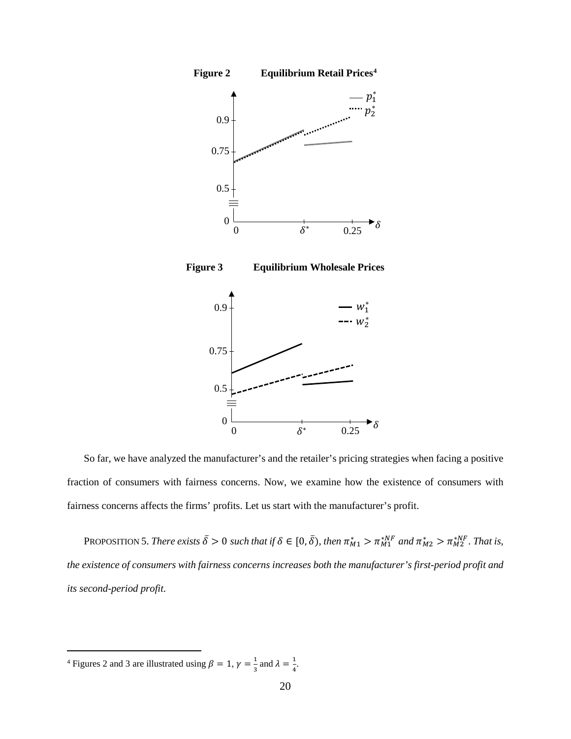



So far, we have analyzed the manufacturer's and the retailer's pricing strategies when facing a positive fraction of consumers with fairness concerns. Now, we examine how the existence of consumers with fairness concerns affects the firms' profits. Let us start with the manufacturer's profit.

PROPOSITION 5. *There exists*  $\bar{\delta} > 0$  *such that if*  $\delta \in [0, \bar{\delta})$ *, then*  $\pi_{M1}^* > \pi_{M1}^{*NF}$  and  $\pi_{M2}^* > \pi_{M2}^{*NF}$ *. That is, the existence of consumers with fairness concerns increases both the manufacturer's first-period profit and its second-period profit.* 

<span id="page-19-0"></span><sup>4</sup> Figures 2 and 3 are illustrated using  $\beta = 1$ ,  $\gamma = \frac{1}{3}$  and  $\lambda = \frac{1}{4}$ .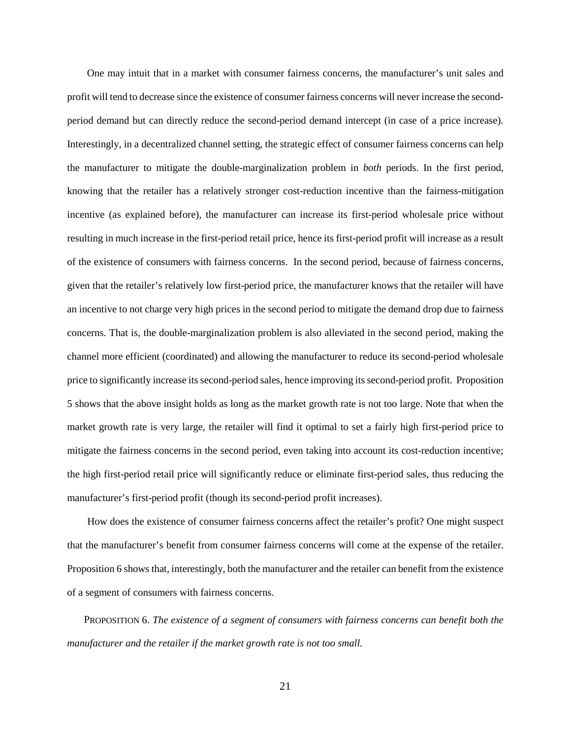One may intuit that in a market with consumer fairness concerns, the manufacturer's unit sales and profit will tend to decrease since the existence of consumer fairness concerns will never increase the secondperiod demand but can directly reduce the second-period demand intercept (in case of a price increase). Interestingly, in a decentralized channel setting, the strategic effect of consumer fairness concerns can help the manufacturer to mitigate the double-marginalization problem in *both* periods. In the first period, knowing that the retailer has a relatively stronger cost-reduction incentive than the fairness-mitigation incentive (as explained before), the manufacturer can increase its first-period wholesale price without resulting in much increase in the first-period retail price, hence its first-period profit will increase as a result of the existence of consumers with fairness concerns. In the second period, because of fairness concerns, given that the retailer's relatively low first-period price, the manufacturer knows that the retailer will have an incentive to not charge very high prices in the second period to mitigate the demand drop due to fairness concerns. That is, the double-marginalization problem is also alleviated in the second period, making the channel more efficient (coordinated) and allowing the manufacturer to reduce its second-period wholesale price to significantly increase its second-period sales, hence improving its second-period profit. Proposition 5 shows that the above insight holds as long as the market growth rate is not too large. Note that when the market growth rate is very large, the retailer will find it optimal to set a fairly high first-period price to mitigate the fairness concerns in the second period, even taking into account its cost-reduction incentive; the high first-period retail price will significantly reduce or eliminate first-period sales, thus reducing the manufacturer's first-period profit (though its second-period profit increases).

How does the existence of consumer fairness concerns affect the retailer's profit? One might suspect that the manufacturer's benefit from consumer fairness concerns will come at the expense of the retailer. Proposition 6 shows that, interestingly, both the manufacturer and the retailer can benefit from the existence of a segment of consumers with fairness concerns.

PROPOSITION 6. *The existence of a segment of consumers with fairness concerns can benefit both the manufacturer and the retailer if the market growth rate is not too small.*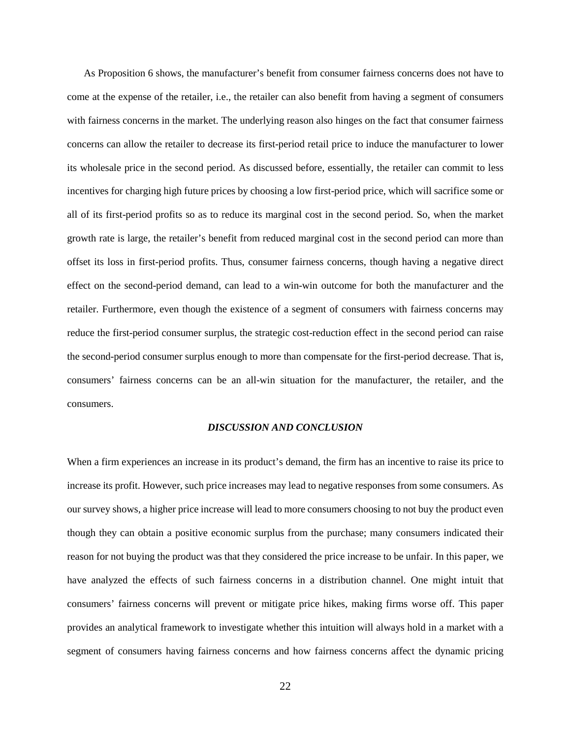As Proposition 6 shows, the manufacturer's benefit from consumer fairness concerns does not have to come at the expense of the retailer, i.e., the retailer can also benefit from having a segment of consumers with fairness concerns in the market. The underlying reason also hinges on the fact that consumer fairness concerns can allow the retailer to decrease its first-period retail price to induce the manufacturer to lower its wholesale price in the second period. As discussed before, essentially, the retailer can commit to less incentives for charging high future prices by choosing a low first-period price, which will sacrifice some or all of its first-period profits so as to reduce its marginal cost in the second period. So, when the market growth rate is large, the retailer's benefit from reduced marginal cost in the second period can more than offset its loss in first-period profits. Thus, consumer fairness concerns, though having a negative direct effect on the second-period demand, can lead to a win-win outcome for both the manufacturer and the retailer. Furthermore, even though the existence of a segment of consumers with fairness concerns may reduce the first-period consumer surplus, the strategic cost-reduction effect in the second period can raise the second-period consumer surplus enough to more than compensate for the first-period decrease. That is, consumers' fairness concerns can be an all-win situation for the manufacturer, the retailer, and the consumers.

### *DISCUSSION AND CONCLUSION*

When a firm experiences an increase in its product's demand, the firm has an incentive to raise its price to increase its profit. However, such price increases may lead to negative responses from some consumers. As our survey shows, a higher price increase will lead to more consumers choosing to not buy the product even though they can obtain a positive economic surplus from the purchase; many consumers indicated their reason for not buying the product was that they considered the price increase to be unfair. In this paper, we have analyzed the effects of such fairness concerns in a distribution channel. One might intuit that consumers' fairness concerns will prevent or mitigate price hikes, making firms worse off. This paper provides an analytical framework to investigate whether this intuition will always hold in a market with a segment of consumers having fairness concerns and how fairness concerns affect the dynamic pricing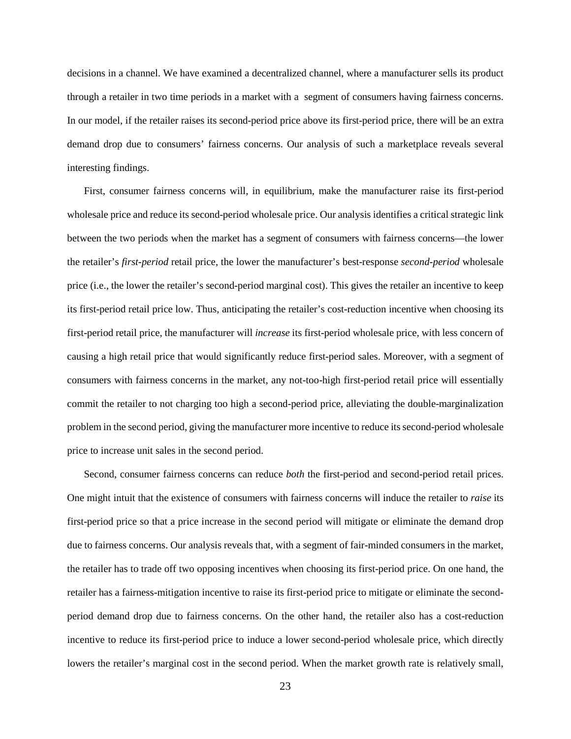decisions in a channel. We have examined a decentralized channel, where a manufacturer sells its product through a retailer in two time periods in a market with a segment of consumers having fairness concerns. In our model, if the retailer raises its second-period price above its first-period price, there will be an extra demand drop due to consumers' fairness concerns. Our analysis of such a marketplace reveals several interesting findings.

First, consumer fairness concerns will, in equilibrium, make the manufacturer raise its first-period wholesale price and reduce its second-period wholesale price. Our analysis identifies a critical strategic link between the two periods when the market has a segment of consumers with fairness concerns—the lower the retailer's *first-period* retail price, the lower the manufacturer's best-response *second-period* wholesale price (i.e., the lower the retailer's second-period marginal cost). This gives the retailer an incentive to keep its first-period retail price low. Thus, anticipating the retailer's cost-reduction incentive when choosing its first-period retail price, the manufacturer will *increase* its first-period wholesale price, with less concern of causing a high retail price that would significantly reduce first-period sales. Moreover, with a segment of consumers with fairness concerns in the market, any not-too-high first-period retail price will essentially commit the retailer to not charging too high a second-period price, alleviating the double-marginalization problem in the second period, giving the manufacturer more incentive to reduce its second-period wholesale price to increase unit sales in the second period.

Second, consumer fairness concerns can reduce *both* the first-period and second-period retail prices. One might intuit that the existence of consumers with fairness concerns will induce the retailer to *raise* its first-period price so that a price increase in the second period will mitigate or eliminate the demand drop due to fairness concerns. Our analysis reveals that, with a segment of fair-minded consumers in the market, the retailer has to trade off two opposing incentives when choosing its first-period price. On one hand, the retailer has a fairness-mitigation incentive to raise its first-period price to mitigate or eliminate the secondperiod demand drop due to fairness concerns. On the other hand, the retailer also has a cost-reduction incentive to reduce its first-period price to induce a lower second-period wholesale price, which directly lowers the retailer's marginal cost in the second period. When the market growth rate is relatively small,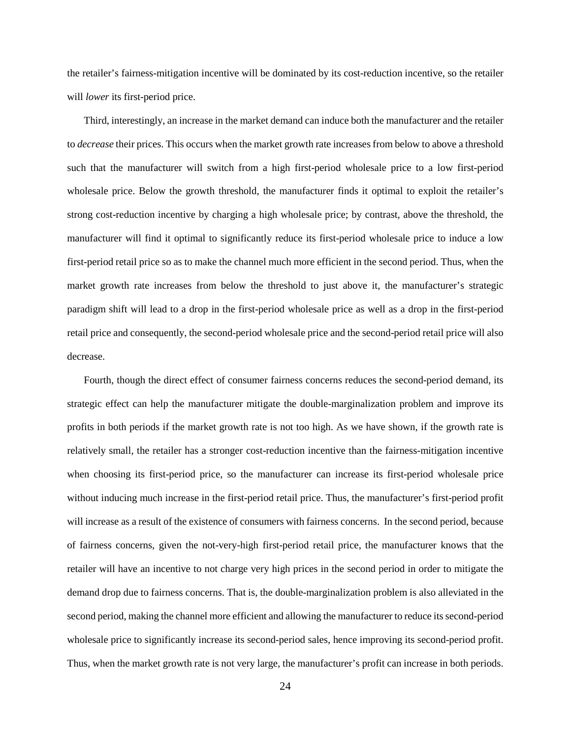the retailer's fairness-mitigation incentive will be dominated by its cost-reduction incentive, so the retailer will *lower* its first-period price.

Third, interestingly, an increase in the market demand can induce both the manufacturer and the retailer to *decrease* their prices. This occurs when the market growth rate increases from below to above a threshold such that the manufacturer will switch from a high first-period wholesale price to a low first-period wholesale price. Below the growth threshold, the manufacturer finds it optimal to exploit the retailer's strong cost-reduction incentive by charging a high wholesale price; by contrast, above the threshold, the manufacturer will find it optimal to significantly reduce its first-period wholesale price to induce a low first-period retail price so as to make the channel much more efficient in the second period. Thus, when the market growth rate increases from below the threshold to just above it, the manufacturer's strategic paradigm shift will lead to a drop in the first-period wholesale price as well as a drop in the first-period retail price and consequently, the second-period wholesale price and the second-period retail price will also decrease.

Fourth, though the direct effect of consumer fairness concerns reduces the second-period demand, its strategic effect can help the manufacturer mitigate the double-marginalization problem and improve its profits in both periods if the market growth rate is not too high. As we have shown, if the growth rate is relatively small, the retailer has a stronger cost-reduction incentive than the fairness-mitigation incentive when choosing its first-period price, so the manufacturer can increase its first-period wholesale price without inducing much increase in the first-period retail price. Thus, the manufacturer's first-period profit will increase as a result of the existence of consumers with fairness concerns. In the second period, because of fairness concerns, given the not-very-high first-period retail price, the manufacturer knows that the retailer will have an incentive to not charge very high prices in the second period in order to mitigate the demand drop due to fairness concerns. That is, the double-marginalization problem is also alleviated in the second period, making the channel more efficient and allowing the manufacturer to reduce its second-period wholesale price to significantly increase its second-period sales, hence improving its second-period profit. Thus, when the market growth rate is not very large, the manufacturer's profit can increase in both periods.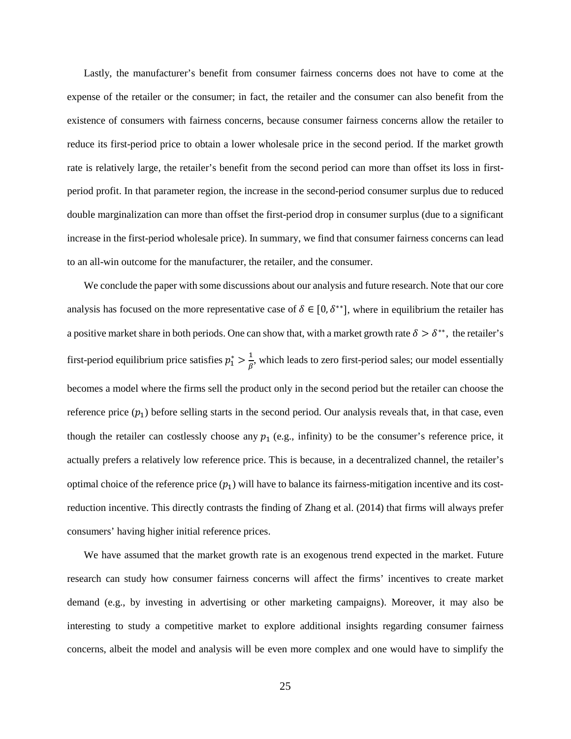Lastly, the manufacturer's benefit from consumer fairness concerns does not have to come at the expense of the retailer or the consumer; in fact, the retailer and the consumer can also benefit from the existence of consumers with fairness concerns, because consumer fairness concerns allow the retailer to reduce its first-period price to obtain a lower wholesale price in the second period. If the market growth rate is relatively large, the retailer's benefit from the second period can more than offset its loss in firstperiod profit. In that parameter region, the increase in the second-period consumer surplus due to reduced double marginalization can more than offset the first-period drop in consumer surplus (due to a significant increase in the first-period wholesale price). In summary, we find that consumer fairness concerns can lead to an all-win outcome for the manufacturer, the retailer, and the consumer.

We conclude the paper with some discussions about our analysis and future research. Note that our core analysis has focused on the more representative case of  $\delta \in [0, \delta^{**}]$ , where in equilibrium the retailer has a positive market share in both periods. One can show that, with a market growth rate  $\delta > \delta^{**}$ , the retailer's first-period equilibrium price satisfies  $p_1^* > \frac{1}{\beta}$ , which leads to zero first-period sales; our model essentially becomes a model where the firms sell the product only in the second period but the retailer can choose the reference price  $(p_1)$  before selling starts in the second period. Our analysis reveals that, in that case, even though the retailer can costlessly choose any  $p_1$  (e.g., infinity) to be the consumer's reference price, it actually prefers a relatively low reference price. This is because, in a decentralized channel, the retailer's optimal choice of the reference price  $(p_1)$  will have to balance its fairness-mitigation incentive and its costreduction incentive. This directly contrasts the finding of Zhang et al. (2014) that firms will always prefer consumers' having higher initial reference prices.

We have assumed that the market growth rate is an exogenous trend expected in the market. Future research can study how consumer fairness concerns will affect the firms' incentives to create market demand (e.g., by investing in advertising or other marketing campaigns). Moreover, it may also be interesting to study a competitive market to explore additional insights regarding consumer fairness concerns, albeit the model and analysis will be even more complex and one would have to simplify the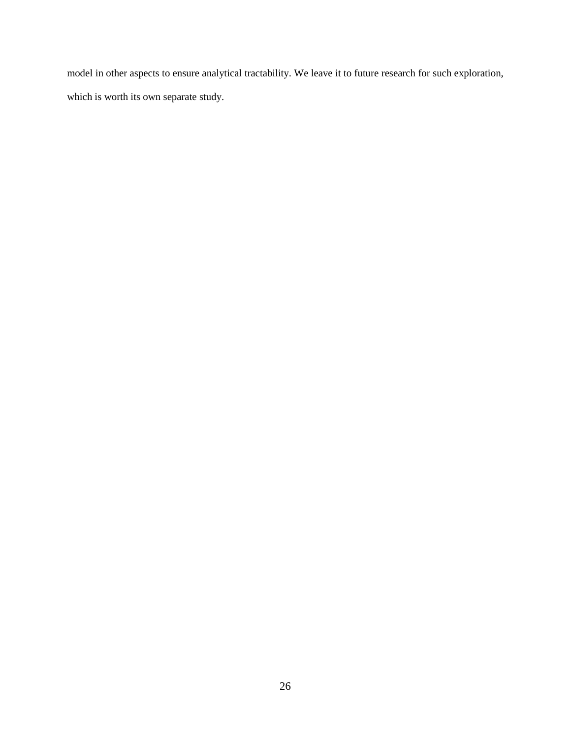model in other aspects to ensure analytical tractability. We leave it to future research for such exploration, which is worth its own separate study.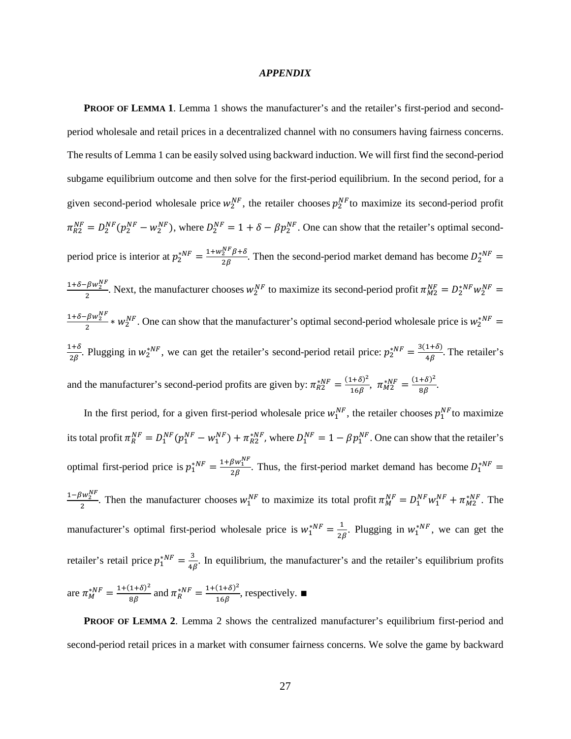#### *APPENDIX*

**PROOF OF LEMMA 1**. Lemma 1 shows the manufacturer's and the retailer's first-period and secondperiod wholesale and retail prices in a decentralized channel with no consumers having fairness concerns. The results of Lemma 1 can be easily solved using backward induction. We will first find the second-period subgame equilibrium outcome and then solve for the first-period equilibrium. In the second period, for a given second-period wholesale price  $w_2^{NF}$ , the retailer chooses  $p_2^{NF}$  to maximize its second-period profit  $\pi_{R2}^{NF} = D_2^{NF} (p_2^{NF} - w_2^{NF})$ , where  $D_2^{NF} = 1 + \delta - \beta p_2^{NF}$ . One can show that the retailer's optimal secondperiod price is interior at  $p_2^{*NF} = \frac{1 + w_2^{NF} \beta + \delta}{2\beta}$ . Then the second-period market demand has become  $D_2^{*NF}$  $\frac{1+\delta-\beta w_2^{NF}}{2}$ . Next, the manufacturer chooses  $w_2^{NF}$  to maximize its second-period profit  $\pi_{M2}^{NF} = D_2^{*NF} w_2^{NF} = D_2^{*NF} w_2^{NF}$  $\frac{1+\delta-\beta w_2^{NF}}{2}$  \*  $w_2^{NF}$ . One can show that the manufacturer's optimal second-period wholesale price is  $w_2^{*NF}$  =  $\frac{1+\delta}{2\beta}$ . Plugging in  $w_2^{*NF}$ , we can get the retailer's second-period retail price:  $p_2^{*NF} = \frac{3(1+\delta)}{4\beta}$ . The retailer's and the manufacturer's second-period profits are given by:  $\pi_{R2}^{*NF} = \frac{(1+\delta)^2}{16\beta}$ ,  $\pi_{M2}^{*NF} = \frac{(1+\delta)^2}{8\beta}$ .

In the first period, for a given first-period wholesale price  $w_1^{NF}$ , the retailer chooses  $p_1^{NF}$  to maximize its total profit  $\pi_R^{NF} = D_1^{NF}(p_1^{NF} - w_1^{NF}) + \pi_{R2}^{*NF}$ , where  $D_1^{NF} = 1 - \beta p_1^{NF}$ . One can show that the retailer's optimal first-period price is  $p_1^{*NF} = \frac{1+\beta w_1^{NF}}{2\beta}$ . Thus, the first-period market demand has become  $D_1^{*NF}$  $\frac{1-\beta w_2^{NF}}{2}$ . Then the manufacturer chooses  $w_1^{NF}$  to maximize its total profit  $\pi_M^{NF} = D_1^{NF} w_1^{NF} + \pi_{M2}^{*NF}$ . The manufacturer's optimal first-period wholesale price is  $w_1^{*NF} = \frac{1}{2\beta}$ . Plugging in  $w_1^{*NF}$ , we can get the retailer's retail price  $p_1^{*NF} = \frac{3}{4\beta}$ . In equilibrium, the manufacturer's and the retailer's equilibrium profits are  $\pi_M^{*NF} = \frac{1+(1+\delta)^2}{8\beta}$  and  $\pi_R^{*NF} = \frac{1+(1+\delta)^2}{16\beta}$ , respectively.

**PROOF OF LEMMA 2**. Lemma 2 shows the centralized manufacturer's equilibrium first-period and second-period retail prices in a market with consumer fairness concerns. We solve the game by backward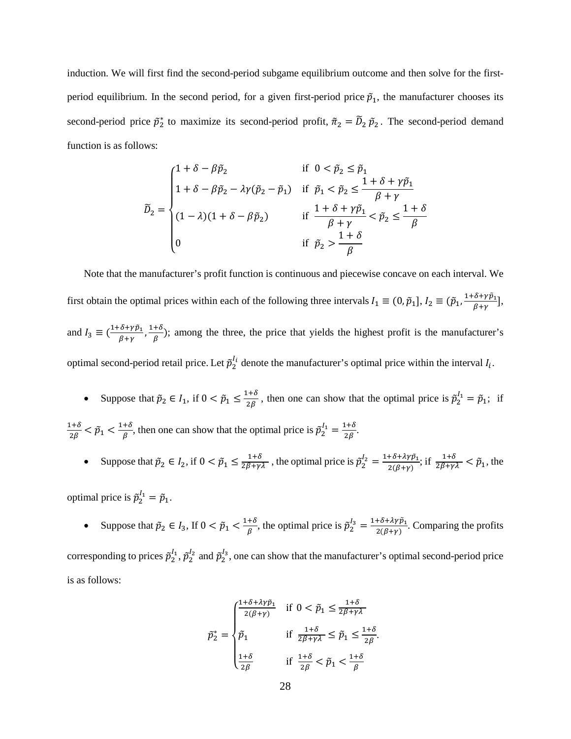induction. We will first find the second-period subgame equilibrium outcome and then solve for the firstperiod equilibrium. In the second period, for a given first-period price  $\tilde{p}_1$ , the manufacturer chooses its second-period price  $\tilde{p}_2^*$  to maximize its second-period profit,  $\tilde{\pi}_2 = \tilde{D}_2 \tilde{p}_2$ . The second-period demand function is as follows:

$$
\widetilde{D}_2 = \begin{cases}\n1 + \delta - \beta \widetilde{p}_2 & \text{if } 0 < \widetilde{p}_2 \le \widetilde{p}_1 \\
1 + \delta - \beta \widetilde{p}_2 - \lambda \gamma (\widetilde{p}_2 - \widetilde{p}_1) & \text{if } \widetilde{p}_1 < \widetilde{p}_2 \le \frac{1 + \delta + \gamma \widetilde{p}_1}{\beta + \gamma} \\
(1 - \lambda)(1 + \delta - \beta \widetilde{p}_2) & \text{if } \frac{1 + \delta + \gamma \widetilde{p}_1}{\beta + \gamma} < \widetilde{p}_2 \le \frac{1 + \delta}{\beta} \\
0 & \text{if } \widetilde{p}_2 > \frac{1 + \delta}{\beta}\n\end{cases}
$$

Note that the manufacturer's profit function is continuous and piecewise concave on each interval. We first obtain the optimal prices within each of the following three intervals  $I_1 \equiv (0, \tilde{p}_1], I_2 \equiv (\tilde{p}_1, \frac{1+\delta+\gamma\tilde{p}_1}{\beta+\gamma}],$ and  $I_3 \equiv \left(\frac{1+\delta+\gamma p_1}{\beta+\gamma}, \frac{1+\delta}{\beta}\right)$ ; among the three, the price that yields the highest profit is the manufacturer's optimal second-period retail price. Let  $\tilde{p}_2^{l_i}$  denote the manufacturer's optimal price within the interval  $l_i$ .

• Suppose that  $\tilde{p}_2 \in I_1$ , if  $0 < \tilde{p}_1 \le \frac{1+\delta}{2\beta}$ , then one can show that the optimal price is  $\tilde{p}_2^{I_1} = \tilde{p}_1$ ; if

 $\frac{1+\delta}{2\beta} < \tilde{p}_1 < \frac{1+\delta}{\beta}$ , then one can show that the optimal price is  $\tilde{p}_2^{I_1} = \frac{1+\delta}{2\beta}$ .

• Suppose that  $\tilde{p}_2 \in I_2$ , if  $0 < \tilde{p}_1 \leq \frac{1+\delta}{2\beta+\gamma\lambda}$ , the optimal price is  $\tilde{p}_2^{I_2} = \frac{1+\delta+\lambda\gamma p_1}{2(\beta+\gamma)}$ ; if  $\frac{1+\delta}{2\beta+\gamma\lambda} < \tilde{p}_1$ , the

optimal price is  $\tilde{p}_2^{l_1} = \tilde{p}_1$ .

is as follows:

• Suppose that  $\tilde{p}_2 \in I_3$ , If  $0 < \tilde{p}_1 < \frac{1+\delta}{\beta}$ , the optimal price is  $\tilde{p}_2^{I_3} = \frac{1+\delta+\lambda\gamma\tilde{p}_1}{2(\beta+\gamma)}$ . Comparing the profits corresponding to prices  $\tilde{p}_2^{l_1}$ ,  $\tilde{p}_2^{l_2}$  and  $\tilde{p}_2^{l_3}$ , one can show that the manufacturer's optimal second-period price

$$
\tilde{p}^*_2=\begin{cases} \frac{1+\delta+\lambda\gamma\tilde{p}_1}{2(\beta+\gamma)} & \text{if}\;\; 0<\tilde{p}_1\leq\frac{1+\delta}{2\beta+\gamma\lambda} \\ \\ \tilde{p}_1 & \text{if}\;\; \frac{1+\delta}{2\beta+\gamma\lambda}\leq\tilde{p}_1\leq\frac{1+\delta}{2\beta} \\ \\ \frac{1+\delta}{2\beta} & \text{if}\;\; \frac{1+\delta}{2\beta}<\tilde{p}_1<\frac{1+\delta}{\beta} \end{cases}
$$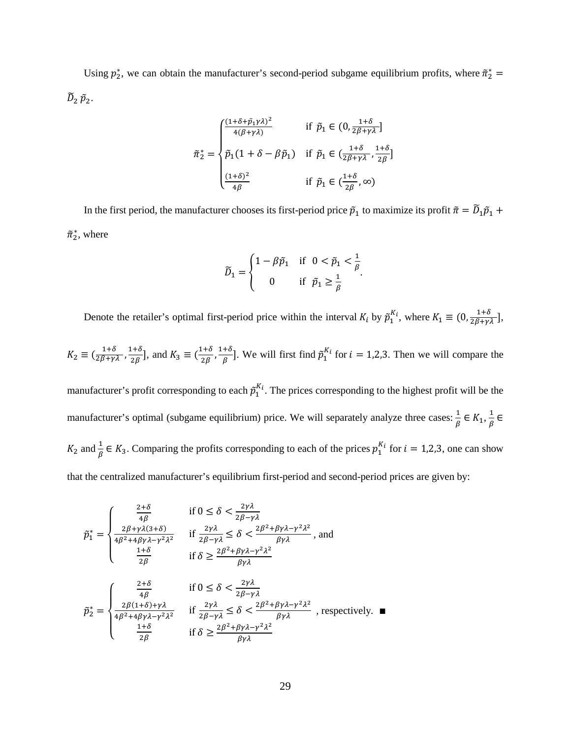Using  $p_2^*$ , we can obtain the manufacturer's second-period subgame equilibrium profits, where  $\tilde{\pi}_2^*$  =  $\widetilde{D}_2 \widetilde{p}_2$ .

$$
\tilde{\pi}_{2}^{*} = \begin{cases}\n\frac{(1+\delta+\tilde{p}_{1}\gamma\lambda)^{2}}{4(\beta+\gamma\lambda)} & \text{if } \tilde{p}_{1} \in (0, \frac{1+\delta}{2\beta+\gamma\lambda}] \\
\tilde{p}_{1}(1+\delta-\beta\tilde{p}_{1}) & \text{if } \tilde{p}_{1} \in (\frac{1+\delta}{2\beta+\gamma\lambda}, \frac{1+\delta}{2\beta}] \\
\frac{(1+\delta)^{2}}{4\beta} & \text{if } \tilde{p}_{1} \in (\frac{1+\delta}{2\beta}, \infty)\n\end{cases}
$$

In the first period, the manufacturer chooses its first-period price  $\tilde{p}_1$  to maximize its profit  $\tilde{\pi} = \tilde{D}_1 \tilde{p}_1 +$  $\tilde{\pi}_2^*$ , where

$$
\widetilde{D}_1 = \begin{cases} 1 - \beta \widetilde{p}_1 & \text{if } 0 < \widetilde{p}_1 < \frac{1}{\beta} \\ 0 & \text{if } \widetilde{p}_1 \ge \frac{1}{\beta} \end{cases}.
$$

Denote the retailer's optimal first-period price within the interval  $K_i$  by  $\tilde{p}_1^{K_i}$ , where  $K_1 \equiv (0, \frac{1+\delta}{2\beta + \gamma \lambda})$ ,  $K_2 \equiv \left(\frac{1+\delta}{2\beta+\gamma\lambda}, \frac{1+\delta}{2\beta}\right]$ , and  $K_3 \equiv \left(\frac{1+\delta}{2\beta}, \frac{1+\delta}{\beta}\right]$ . We will first find  $\tilde{p}_1^{K_i}$  for  $i = 1, 2, 3$ . Then we will compare the

manufacturer's profit corresponding to each  $\tilde{p}_1^{K_i}$ . The prices corresponding to the highest profit will be the manufacturer's optimal (subgame equilibrium) price. We will separately analyze three cases:  $\frac{1}{\beta} \in K_1$ ,  $\frac{1}{\beta} \in$  $K_2$  and  $\frac{1}{\beta} \in K_3$ . Comparing the profits corresponding to each of the prices  $p_1^{K_i}$  for  $i = 1,2,3$ , one can show that the centralized manufacturer's equilibrium first-period and second-period prices are given by:

$$
\tilde{p}_{1}^{*} = \begin{cases}\n\frac{2+\delta}{4\beta} & \text{if } 0 \leq \delta < \frac{2\gamma\lambda}{2\beta - \gamma\lambda} \\
\frac{2\beta + \gamma\lambda(3+\delta)}{4\beta^2 + 4\beta\gamma\lambda - \gamma^2\lambda^2} & \text{if } \frac{2\gamma\lambda}{2\beta - \gamma\lambda} \leq \delta < \frac{2\beta^2 + \beta\gamma\lambda - \gamma^2\lambda^2}{\beta\gamma\lambda}, \text{ and} \\
\frac{1+\delta}{2\beta} & \text{if } \delta \geq \frac{2\beta^2 + \beta\gamma\lambda - \gamma^2\lambda^2}{\beta\gamma\lambda} \\
\frac{2\beta(1+\delta) + \gamma\lambda}{4\beta} & \text{if } 0 \leq \delta < \frac{2\gamma\lambda}{2\beta - \gamma\lambda} \\
\frac{2\beta(1+\delta) + \gamma\lambda}{4\beta^2 + 4\beta\gamma\lambda - \gamma^2\lambda^2} & \text{if } \frac{2\gamma\lambda}{2\beta - \gamma\lambda} \leq \delta < \frac{2\beta^2 + \beta\gamma\lambda - \gamma^2\lambda^2}{\beta\gamma\lambda}, \text{ respectively.} \quad \blacksquare \\
\frac{1+\delta}{2\beta} & \text{if } \delta \geq \frac{2\beta^2 + \beta\gamma\lambda - \gamma^2\lambda^2}{\beta\gamma\lambda}\n\end{cases}
$$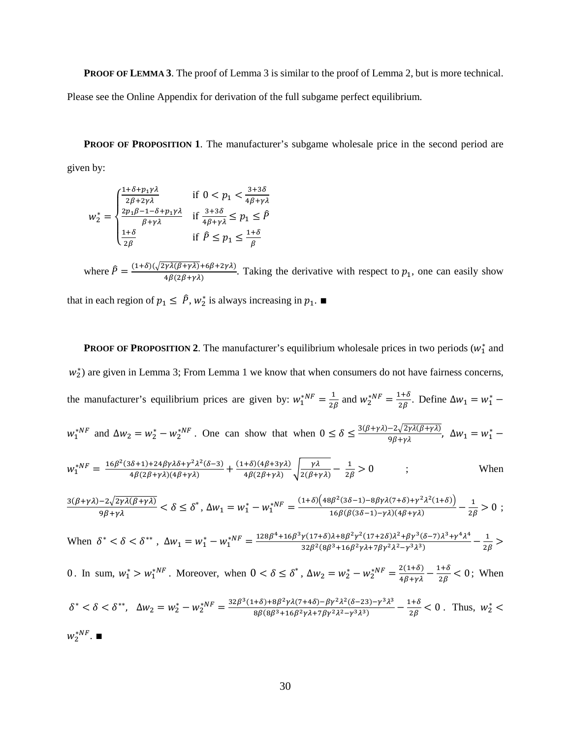**PROOF OF LEMMA 3.** The proof of Lemma 3 is similar to the proof of Lemma 2, but is more technical.

Please see the Online Appendix for derivation of the full subgame perfect equilibrium.

**PROOF OF PROPOSITION 1.** The manufacturer's subgame wholesale price in the second period are given by:

$$
w_2^* = \begin{cases} \frac{1+\delta+p_1\gamma\lambda}{2\beta+2\gamma\lambda} & \text{if } 0 < p_1 < \frac{3+3\delta}{4\beta+\gamma\lambda} \\ \frac{2p_1\beta-1-\delta+p_1\gamma\lambda}{\beta+\gamma\lambda} & \text{if } \frac{3+3\delta}{4\beta+\gamma\lambda} \le p_1 \le \hat{P} \\ \frac{1+\delta}{2\beta} & \text{if } \hat{P} \le p_1 \le \frac{1+\delta}{\beta} \end{cases}
$$

where  $\hat{P} = \frac{(1+\delta)(\sqrt{2\gamma\lambda(\beta+\gamma\lambda)+6\beta+2\gamma\lambda})}{4\beta(2\beta+\gamma\lambda)}$ . Taking the derivative with respect to  $p_1$ , one can easily show

that in each region of  $p_1 \leq \hat{P}$ ,  $w_2^*$  is always increasing in  $p_1$ .

**PROOF OF PROPOSITION 2.** The manufacturer's equilibrium wholesale prices in two periods  $(w_1^*$  and  $w_2^*$ ) are given in Lemma 3; From Lemma 1 we know that when consumers do not have fairness concerns, the manufacturer's equilibrium prices are given by:  $w_1^{*NF} = \frac{1}{2\beta}$  and  $w_2^{*NF} = \frac{1+\delta}{2\beta}$ . Define  $\Delta w_1 = w_1^*$  –  $w_1^{*NF}$  and  $\Delta w_2 = w_2^* - w_2^{*NF}$ . One can show that when  $0 \le \delta \le \frac{3(\beta + \gamma \lambda) - 2\sqrt{2}\gamma \lambda(\beta + \gamma \lambda)}{9\beta + \gamma \lambda}$ ,  $\Delta w_1 = w_1^*$  $w_1^{*NF} = \frac{16\beta^2(3\delta+1)+24\beta\gamma\lambda\delta+\gamma^2\lambda^2(\delta-3)}{4\beta(2\beta+\gamma\lambda)(4\beta+\gamma\lambda)} + \frac{(1+\delta)(4\beta+3\gamma\lambda)}{4\beta(2\beta+\gamma\lambda)} \sqrt{\frac{\gamma\lambda}{2(\beta+\gamma\lambda)}} - \frac{1}{2\beta} > 0$  ; When  $\frac{3(\beta+\gamma\lambda)-2\sqrt{2\gamma\lambda(\beta+\gamma\lambda)}}{9\beta+\gamma\lambda} < \delta \leq \delta^*$ ,  $\Delta w_1 = w_1^* - w_1^{*NF} = \frac{(1+\delta)(48\beta^2(3\delta-1)-8\beta\gamma\lambda(7+\delta)+\gamma^2\lambda^2(1+\delta))}{16\beta(\beta(3\delta-1)-\gamma\lambda)(4\beta+\gamma\lambda)} - \frac{1}{2\beta} > 0$ ; When  $\delta^* < \delta < \delta^{**}$ ,  $\Delta w_1 = w_1^* - w_1^{*NF} = \frac{128\beta^4 + 16\beta^3 \gamma (17+\delta)\lambda + 8\beta^2 \gamma^2 (17+2\delta)\lambda^2 + \beta \gamma^3 (\delta - 7)\lambda^3 + \gamma^4 \lambda^4}{32\beta^2 (8\beta^3 + 16\beta^2 \gamma \lambda + 7\beta \gamma^2 \lambda^2 - \gamma^3 \lambda^3)} - \frac{1}{2\beta} >$ 0. In sum,  $w_1^* > w_1^{*NF}$ . Moreover, when  $0 < \delta \leq \delta^*$ ,  $\Delta w_2 = w_2^* - w_2^{*NF} = \frac{2(1+\delta)}{4\beta + \gamma \lambda} - \frac{1+\delta}{2\beta} < 0$ ; When  $\delta^* < \delta < \delta^{**}$ ,  $\Delta w_2 = w_2^* - w_2^{*NF} = \frac{32\beta^3(1+\delta) + 8\beta^2\gamma\lambda(7+4\delta) - \beta\gamma^2\lambda^2(\delta-23) - \gamma^3\lambda^3}{8\beta(8\beta^3 + 16\beta^2\gamma\lambda + 7\beta\gamma^2\lambda^2 - \gamma^3\lambda^3)} - \frac{1+\delta}{2\beta} < 0$ . Thus,  $w_2^* <$  $w_2^{*NF}$ .  $\blacksquare$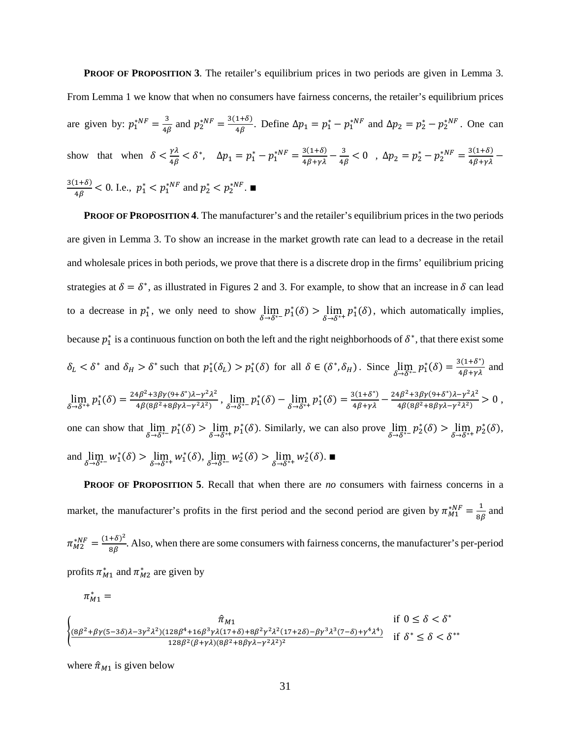**PROOF OF PROPOSITION 3.** The retailer's equilibrium prices in two periods are given in Lemma 3. From Lemma 1 we know that when no consumers have fairness concerns, the retailer's equilibrium prices are given by:  $p_1^{*NF} = \frac{3}{4\beta}$  and  $p_2^{*NF} = \frac{3(1+6)}{4\beta}$ . Define  $\Delta p_1 = p_1^* - p_1^{*NF}$  and  $\Delta p_2 = p_2^* - p_2^{*NF}$ . One can show that when  $\delta < \frac{\gamma A}{4\beta} < \delta^*$ ,  $\Delta p_1 = p_1^* - p_1^{*NF} = \frac{3(1+\delta)}{4\beta + \gamma \lambda} - \frac{3}{4\beta} < 0$ ,  $\Delta p_2 = p_2^* - p_2^{*NF} = \frac{3(1+\delta)}{4\beta + \gamma \lambda} - \frac{3}{4\beta + \gamma \lambda}$  $\frac{3(1+\delta)}{4\beta}$  < 0. I.e.,  $p_1^*$  <  $p_1^{*NF}$  and  $p_2^*$  <  $p_2^{*NF}$ .

**PROOF OF PROPOSITION 4.** The manufacturer's and the retailer's equilibrium prices in the two periods are given in Lemma 3. To show an increase in the market growth rate can lead to a decrease in the retail and wholesale prices in both periods, we prove that there is a discrete drop in the firms' equilibrium pricing strategies at  $\delta = \delta^*$ , as illustrated in Figures 2 and 3. For example, to show that an increase in  $\delta$  can lead to a decrease in  $p_1^*$ , we only need to show  $\lim_{\delta \to \delta^{*+}} p_1^*(\delta) > \lim_{\delta \to \delta^{*+}} p_1^*(\delta)$ , which automatically implies, because  $p_1^*$  is a continuous function on both the left and the right neighborhoods of  $\delta^*$ , that there exist some  $\delta_L < \delta^*$  and  $\delta_H > \delta^*$  such that  $p_1^*(\delta_L) > p_1^*(\delta)$  for all  $\delta \in (\delta^*, \delta_H)$ . Since  $\lim_{\delta \to \delta^{*-}} p_1^*(\delta) = \frac{3(1+\delta^*)}{4\beta + \gamma \lambda}$  and  $\lim_{\delta \to \delta^{*+}} p_1^*(\delta) = \frac{24\beta^2 + 3\beta\gamma(9+\delta^*)\lambda - \gamma^2\lambda^2}{4\beta(8\beta^2 + 8\beta\gamma\lambda - \gamma^2\lambda^2)}, \lim_{\delta \to \delta^{*+}} p_1^*(\delta) - \lim_{\delta \to \delta^{*+}} p_1^*(\delta) = \frac{3(1+\delta^*)}{4\beta + \gamma\lambda} - \frac{24\beta^2 + 3\beta\gamma(9+\delta^*)\lambda - \gamma^2\lambda^2}{4\beta(8\beta^2 + 8\beta\gamma\lambda - \gamma^2\lambda^2)} > 0$ one can show that  $\lim_{\delta \to \delta^{*+}} p_1^*(\delta) > \lim_{\delta \to \delta^{*+}} p_1^*(\delta)$ . Similarly, we can also prove  $\lim_{\delta \to \delta^{*+}} p_2^*(\delta) > \lim_{\delta \to \delta^{*+}} p_2^*(\delta)$ , and  $\lim_{\delta \to \delta^{*-}} w_1^*(\delta) > \lim_{\delta \to \delta^{*+}} w_1^*(\delta), \lim_{\delta \to \delta^{*-}} w_2^*(\delta) > \lim_{\delta \to \delta^{*+}} w_2^*(\delta).$ 

**PROOF OF PROPOSITION 5**. Recall that when there are *no* consumers with fairness concerns in a market, the manufacturer's profits in the first period and the second period are given by  $\pi_{M1}^{*NF} = \frac{1}{8\beta}$  and  $\pi_{M2}^{*NF} = \frac{(1+\delta)^2}{8\beta}$ . Also, when there are some consumers with fairness concerns, the manufacturer's per-period profits  $\pi_{M1}^*$  and  $\pi_{M2}^*$  are given by

 $\pi_{M1}^* =$ 

$$
\begin{cases}\n\hat{\pi}_{M1} & \text{if } 0 \le \delta < \delta^* \\
\frac{(8\beta^2 + \beta\gamma(5 - 3\delta)\lambda - 3\gamma^2\lambda^2)(128\beta^4 + 16\beta^3\gamma\lambda(17 + \delta) + 8\beta^2\gamma^2\lambda^2(17 + 2\delta) - \beta\gamma^3\lambda^3(7 - \delta) + \gamma^4\lambda^4)}{128\beta^2(\beta + \gamma\lambda)(8\beta^2 + 8\beta\gamma\lambda - \gamma^2\lambda^2)^2} & \text{if } \delta^* \le \delta < \delta^{**}\n\end{cases}
$$

where  $\hat{\pi}_{M1}$  is given below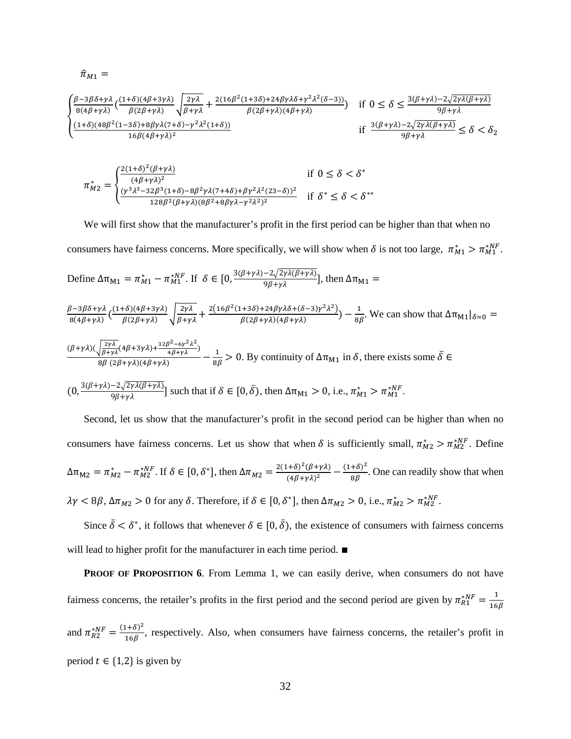$$
\hat{\pi}_{M1} =
$$

$$
\begin{cases} \frac{\beta-3\beta\delta+\gamma\lambda}{8(4\beta+\gamma\lambda)}\left(\frac{(1+\delta)(4\beta+3\gamma\lambda)}{\beta(2\beta+\gamma\lambda)}\sqrt{\frac{2\gamma\lambda}{\beta+\gamma\lambda}}+\frac{2(16\beta^2(1+3\delta)+24\beta\gamma\lambda\delta+\gamma^2\lambda^2(\delta-3))}{\beta(2\beta+\gamma\lambda)(4\beta+\gamma\lambda)}\right) & \text{if } 0\leq \delta \leq \frac{3(\beta+\gamma\lambda)-2\sqrt{2\gamma\lambda(\beta+\gamma\lambda)}}{9\beta+\gamma\lambda} \\ \frac{(1+\delta)(48\beta^2(1-3\delta)+8\beta\gamma\lambda(7+\delta)-\gamma^2\lambda^2(1+\delta))}{16\beta(4\beta+\gamma\lambda)^2} & \text{if } \frac{3(\beta+\gamma\lambda)-2\sqrt{2\gamma\lambda(\beta+\gamma\lambda)}}{9\beta+\gamma\lambda} \leq \delta < \delta_2 \end{cases}
$$

$$
\pi_{M2}^* = \begin{cases}\n\frac{2(1+\delta)^2(\beta+\gamma\lambda)}{(4\beta+\gamma\lambda)^2} & \text{if } 0 \le \delta < \delta^* \\
\frac{(\gamma^3\lambda^3 - 32\beta^3(1+\delta) - 8\beta^2\gamma\lambda(7+4\delta) + \beta\gamma^2\lambda^2(23-\delta))^2}{128\beta^2(\beta+\gamma\lambda)(8\beta^2 + 8\beta\gamma\lambda - \gamma^2\lambda^2)^2} & \text{if } \delta^* \le \delta < \delta^{**}\n\end{cases}
$$

We will first show that the manufacturer's profit in the first period can be higher than that when no consumers have fairness concerns. More specifically, we will show when  $\delta$  is not too large,  $\pi_{M1}^* > \pi_{M1}^{*NF}$ . Define  $\Delta \pi_{M1} = \pi_{M1}^* - \pi_{M1}^{*NF}$ . If  $\delta \in [0, \frac{3(\beta + \gamma \lambda) - 2\sqrt{2\gamma \lambda(\beta + \gamma \lambda)}}{9\beta + \gamma \lambda}]$ , then  $\Delta \pi_{M1} =$  $\frac{\beta-3\beta\delta+\gamma\lambda}{8(4\beta+\gamma\lambda)}\left(\frac{(1+\delta)(4\beta+3\gamma\lambda)}{\beta(2\beta+\gamma\lambda)}\sqrt{\frac{2\gamma\lambda}{\beta+\gamma\lambda}}+\frac{2(16\beta^2(1+3\delta)+24\beta\gamma\lambda\delta+(\delta-3)\gamma^2\lambda^2)}{\beta(2\beta+\gamma\lambda)(4\beta+\gamma\lambda)}\right)-\frac{1}{8\beta}.$  We can show that  $\Delta\pi_{M1}\big|_{\delta=0}$  =  $\frac{(\beta + \gamma \lambda)(\sqrt{\frac{2\gamma \lambda}{\beta + \gamma \lambda}(4\beta + 3\gamma \lambda) + \frac{32\beta^2 - 6\gamma^2 \lambda^2}{4\beta + \gamma \lambda})}}{8\beta (2\beta + \gamma \lambda)(4\beta + \gamma \lambda)} - \frac{1}{8\beta} > 0$ . By continuity of  $\Delta \pi_{M1}$  in  $\delta$ , there exists some  $\bar{\delta} \in$  $(0, \frac{3(\beta+\gamma\lambda)-2\sqrt{2\gamma\lambda(\beta+\gamma\lambda)}}{9\beta+\gamma\lambda}]$  such that if  $\delta \in [0,\bar{\delta})$ , then  $\Delta \pi_{M1} > 0$ , i.e.,  $\pi_{M1}^* > \pi_{M1}^{*NF}$ .

Second, let us show that the manufacturer's profit in the second period can be higher than when no consumers have fairness concerns. Let us show that when  $\delta$  is sufficiently small,  $\pi_{M2}^* > \pi_{M2}^{*NF}$ . Define  $\Delta \pi_{M2} = \pi_{M2}^* - \pi_{M2}^{*NF}$ . If  $\delta \in [0, \delta^*]$ , then  $\Delta \pi_{M2} = \frac{2(1+\delta)^2(\beta+\gamma\lambda)}{(4\beta+\gamma\lambda)^2} - \frac{(1+\delta)^2}{8\beta}$ . One can readily show that when  $\lambda \gamma < 8\beta$ ,  $\Delta \pi_{M2} > 0$  for any  $\delta$ . Therefore, if  $\delta \in [0, \delta^*]$ , then  $\Delta \pi_{M2} > 0$ , i.e.,  $\pi_{M2}^* > \pi_{M2}^{*N}$ .

Since  $\delta < \delta^*$ , it follows that whenever  $\delta \in [0, \delta)$ , the existence of consumers with fairness concerns will lead to higher profit for the manufacturer in each time period. ∎

PROOF OF PROPOSITION 6. From Lemma 1, we can easily derive, when consumers do not have fairness concerns, the retailer's profits in the first period and the second period are given by  $\pi_{R1}^{*NF} = \frac{1}{16\beta}$ and  $\pi_{R2}^{*NF} = \frac{(1+\delta)^2}{16\beta}$ , respectively. Also, when consumers have fairness concerns, the retailer's profit in period  $t \in \{1,2\}$  is given by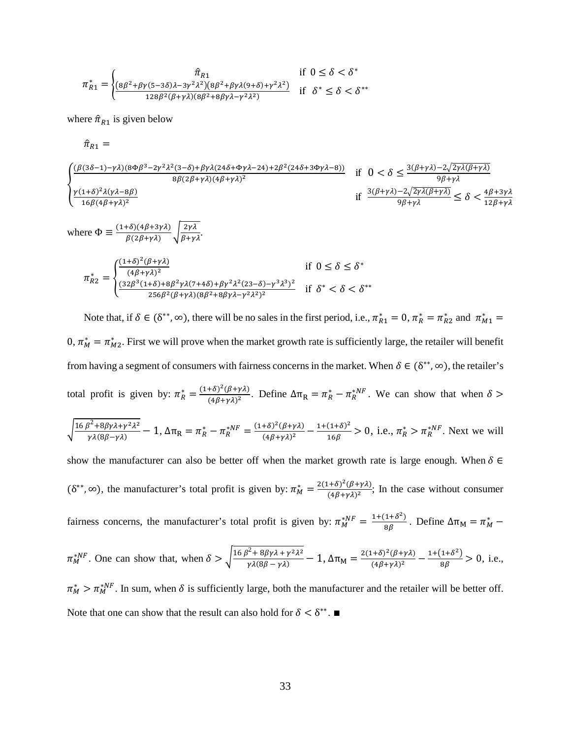$$
\pi_{R1}^* = \begin{cases}\n\hat{\pi}_{R1} & \text{if } 0 \le \delta < \delta^* \\
\frac{(8\beta^2 + \beta\gamma(5 - 3\delta)\lambda - 3\gamma^2 \lambda^2)(8\beta^2 + \beta\gamma\lambda(9 + \delta) + \gamma^2 \lambda^2)}{128\beta^2(\beta + \gamma\lambda)(8\beta^2 + 8\beta\gamma\lambda - \gamma^2 \lambda^2)} & \text{if } \delta^* \le \delta < \delta^{**}\n\end{cases}
$$

where  $\hat{\pi}_{R1}$  is given below

 $\hat{\pi}_{R1} =$  $\left\{ \right\}$  $\frac{(\beta(3\delta-1)-\gamma\lambda)(8\Phi\beta^3-2\gamma^2\lambda^2(3-\delta)+\beta\gamma\lambda(24\delta+\Phi\gamma\lambda-24)+2\beta^2(24\delta+3\Phi\gamma\lambda-8))}{8\beta(2\beta+\gamma\lambda)(4\beta+\gamma\lambda)^2}$  if  $0 < \delta \leq \frac{3(\beta+\gamma\lambda)-2\sqrt{2\gamma\lambda(\beta+\gamma\lambda)}}{9\beta+\gamma\lambda}$  $\frac{\gamma(1+\delta)^2 \lambda(\gamma \lambda - 8\beta)}{16\beta(4\beta + \gamma \lambda)^2}$  if  $\frac{3(\beta + \gamma \lambda) - 2\sqrt{2\gamma \lambda(\beta + \gamma \lambda)}}{9\beta + \gamma \lambda}$  $\frac{-2\sqrt{2\gamma\lambda(\beta+\gamma\lambda)}}{9\beta+\gamma\lambda} \leq \delta < \frac{4\beta+3\gamma\lambda}{12\beta+\gamma\lambda}$ 

where 
$$
\Phi \equiv \frac{(1+\delta)(4\beta+3\gamma\lambda)}{\beta(2\beta+\gamma\lambda)} \sqrt{\frac{2\gamma\lambda}{\beta+\gamma\lambda}}.
$$
  

$$
\pi_{R2}^* = \begin{cases} \frac{(1+\delta)^2(\beta+\gamma\lambda)}{(4\beta+\gamma\lambda)^2} & \text{if } 0 \le \delta \le \delta^*\\ \frac{(32\beta^3(1+\delta)+8\beta^2\gamma\lambda(7+4\delta)+\beta\gamma^2\lambda^2(23-\delta)-\gamma^3\lambda^3)^2}{256\beta^2(\beta+\gamma\lambda)(8\beta^2+8\beta\gamma\lambda-\gamma^2\lambda^2)^2} & \text{if } \delta^* < \delta < \delta^{**} \end{cases}
$$

Note that, if  $\delta \in (\delta^{**}, \infty)$ , there will be no sales in the first period, i.e.,  $\pi_{R1}^* = 0$ ,  $\pi_R^* = \pi_{R2}^*$  and  $\pi_{M1}^* = \delta_{M1}$ 0,  $\pi_M^* = \pi_{M2}^*$ . First we will prove when the market growth rate is sufficiently large, the retailer will benefit from having a segment of consumers with fairness concerns in the market. When  $\delta \in (\delta^{**}, \infty)$ , the retailer's total profit is given by:  $\pi_R^* = \frac{(1+\delta)^2(\beta+\gamma\lambda)}{(4\beta+\gamma\lambda)^2}$ . Define  $\Delta \pi_R = \pi_R^* - \pi_R^{*NF}$ . We can show that when  $\delta >$  $\sqrt{\frac{16 \beta^2 + 8 \beta \gamma \lambda + \gamma^2 \lambda^2}{\gamma \lambda (8 \beta - \gamma \lambda)}} - 1$ ,  $\Delta \pi_R = \pi_R^* - \pi_R^{*NF} = \frac{(1+\delta)^2 (\beta + \gamma \lambda)}{(4 \beta + \gamma \lambda)^2} - \frac{1+(1+\delta)^2}{16 \beta} > 0$ , i.e.,  $\pi_R^* > \pi_R^{*NF}$ . Next we will show the manufacturer can also be better off when the market growth rate is large enough. When  $\delta \in$  $(\delta^{**}, \infty)$ , the manufacturer's total profit is given by:  $\pi_M^* = \frac{2(1+\delta)^2(\beta+\gamma\lambda)}{(4\beta+\gamma\lambda)^2}$ ; In the case without consumer fairness concerns, the manufacturer's total profit is given by:  $\pi_M^{*NF} = \frac{1+(1+\delta^2)}{8\beta}$ . Define  $\Delta \pi_M = \pi_M^*$  –  $\pi_M^{*NF}$ . One can show that, when  $\delta > \sqrt{\frac{16\beta^2 + 8\beta\gamma\lambda + \gamma^2\lambda^2}{\gamma\lambda(8\beta - \gamma\lambda)}} - 1$ ,  $\Delta \pi_M = \frac{2(1+\delta)^2(\beta+\gamma\lambda)}{(4\beta+\gamma\lambda)^2} - \frac{1+(1+\delta^2)}{8\beta} > 0$ , i.e.,  $\pi_M^* > \pi_M^{*N}$ . In sum, when  $\delta$  is sufficiently large, both the manufacturer and the retailer will be better off.

Note that one can show that the result can also hold for  $\delta < \delta^{**}$ .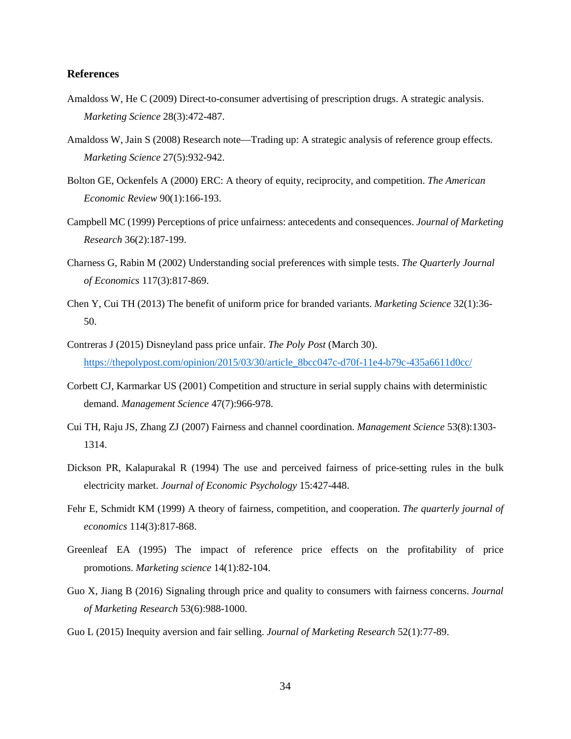# **References**

- Amaldoss W, He C (2009) Direct-to-consumer advertising of prescription drugs. A strategic analysis. *Marketing Science* 28(3):472-487.
- Amaldoss W, Jain S (2008) Research note—Trading up: A strategic analysis of reference group effects. *Marketing Science* 27(5):932-942.
- Bolton GE, Ockenfels A (2000) ERC: A theory of equity, reciprocity, and competition. *The American Economic Review* 90(1):166-193.
- Campbell MC (1999) Perceptions of price unfairness: antecedents and consequences. *Journal of Marketing Research* 36(2):187-199.
- Charness G, Rabin M (2002) Understanding social preferences with simple tests. *The Quarterly Journal of Economics* 117(3):817-869.
- Chen Y, Cui TH (2013) The benefit of uniform price for branded variants. *Marketing Science* 32(1):36- 50.
- Contreras J (2015) Disneyland pass price unfair. *The Poly Post* (March 30). [https://thepolypost.com/opinion/2015/03/30/article\\_8bcc047c-d70f-11e4-b79c-435a6611d0cc/](https://thepolypost.com/opinion/2015/03/30/article_8bcc047c-d70f-11e4-b79c-435a6611d0cc/)
- Corbett CJ, Karmarkar US (2001) Competition and structure in serial supply chains with deterministic demand. *Management Science* 47(7):966-978.
- Cui TH, Raju JS, Zhang ZJ (2007) Fairness and channel coordination. *Management Science* 53(8):1303- 1314.
- Dickson PR, Kalapurakal R (1994) The use and perceived fairness of price-setting rules in the bulk electricity market. *Journal of Economic Psychology* 15:427-448.
- Fehr E, Schmidt KM (1999) A theory of fairness, competition, and cooperation. *The quarterly journal of economics* 114(3):817-868.
- Greenleaf EA (1995) The impact of reference price effects on the profitability of price promotions. *Marketing science* 14(1):82-104.
- Guo X, Jiang B (2016) Signaling through price and quality to consumers with fairness concerns. *Journal of Marketing Research* 53(6):988-1000.
- Guo L (2015) Inequity aversion and fair selling. *Journal of Marketing Research* 52(1):77-89.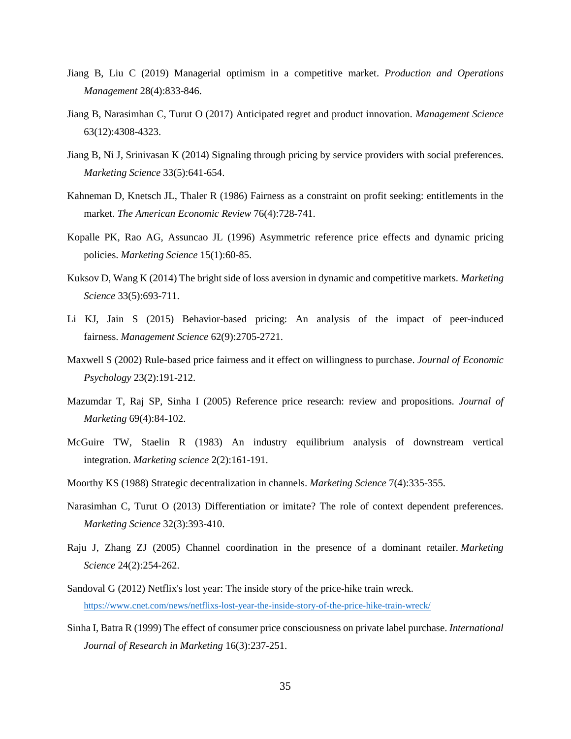- Jiang B, Liu C (2019) Managerial optimism in a competitive market. *Production and Operations Management* 28(4):833-846.
- Jiang B, Narasimhan C, Turut O (2017) Anticipated regret and product innovation. *Management Science* 63(12):4308-4323.
- Jiang B, Ni J, Srinivasan K (2014) Signaling through pricing by service providers with social preferences. *Marketing Science* 33(5):641-654.
- Kahneman D, Knetsch JL, Thaler R (1986) Fairness as a constraint on profit seeking: entitlements in the market. *The American Economic Review* 76(4):728-741.
- Kopalle PK, Rao AG, Assuncao JL (1996) Asymmetric reference price effects and dynamic pricing policies. *Marketing Science* 15(1):60-85.
- Kuksov D, Wang K (2014) The bright side of loss aversion in dynamic and competitive markets. *Marketing Science* 33(5):693-711.
- Li KJ, Jain S (2015) Behavior-based pricing: An analysis of the impact of peer-induced fairness. *Management Science* 62(9):2705-2721.
- Maxwell S (2002) Rule-based price fairness and it effect on willingness to purchase. *Journal of Economic Psychology* 23(2):191-212.
- Mazumdar T, Raj SP, Sinha I (2005) Reference price research: review and propositions. *Journal of Marketing* 69(4):84-102.
- McGuire TW, Staelin R (1983) An industry equilibrium analysis of downstream vertical integration. *Marketing science* 2(2):161-191.
- Moorthy KS (1988) Strategic decentralization in channels. *Marketing Science* 7(4):335-355.
- Narasimhan C, Turut O (2013) Differentiation or imitate? The role of context dependent preferences. *Marketing Science* 32(3):393-410.
- Raju J, Zhang ZJ (2005) Channel coordination in the presence of a dominant retailer. *Marketing Science* 24(2):254-262.
- Sandoval G (2012) Netflix's lost year: The inside story of the price-hike train wreck. <https://www.cnet.com/news/netflixs-lost-year-the-inside-story-of-the-price-hike-train-wreck/>
- Sinha I, Batra R (1999) The effect of consumer price consciousness on private label purchase. *International Journal of Research in Marketing* 16(3):237-251.